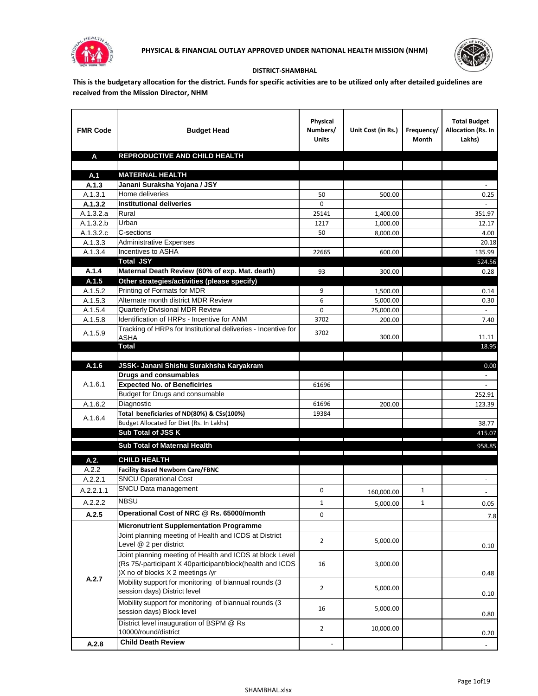



## **DISTRICT-SHAMBHAL**

**This is the budgetary allocation for the district. Funds for specific activities are to be utilized only after detailed guidelines are received from the Mission Director, NHM**

| <b>FMR Code</b> | <b>Budget Head</b>                                                                                                                                        | Physical<br>Numbers/<br><b>Units</b> | Unit Cost (in Rs.) | Frequency/<br>Month | <b>Total Budget</b><br>Allocation (Rs. In<br>Lakhs) |
|-----------------|-----------------------------------------------------------------------------------------------------------------------------------------------------------|--------------------------------------|--------------------|---------------------|-----------------------------------------------------|
| A               | REPRODUCTIVE AND CHILD HEALTH                                                                                                                             |                                      |                    |                     |                                                     |
|                 |                                                                                                                                                           |                                      |                    |                     |                                                     |
| A.1<br>A.1.3    | <b>MATERNAL HEALTH</b><br>Janani Suraksha Yojana / JSY                                                                                                    |                                      |                    |                     |                                                     |
| A.1.3.1         | Home deliveries                                                                                                                                           | 50                                   | 500.00             |                     | 0.25                                                |
| A.1.3.2         | <b>Institutional deliveries</b>                                                                                                                           | $\Omega$                             |                    |                     |                                                     |
| A.1.3.2.a       | Rural                                                                                                                                                     | 25141                                | 1,400.00           |                     | 351.97                                              |
| A.1.3.2.b       | Urban                                                                                                                                                     | 1217                                 | 1,000.00           |                     | 12.17                                               |
| A.1.3.2.c       | C-sections                                                                                                                                                | 50                                   | 8,000.00           |                     | 4.00                                                |
| A.1.3.3         | <b>Administrative Expenses</b>                                                                                                                            |                                      |                    |                     | 20.18                                               |
| A.1.3.4         | Incentives to ASHA                                                                                                                                        | 22665                                | 600.00             |                     | 135.99                                              |
|                 | <b>Total JSY</b>                                                                                                                                          |                                      |                    |                     | 524.56                                              |
| A.1.4           | Maternal Death Review (60% of exp. Mat. death)                                                                                                            | 93                                   | 300.00             |                     | 0.28                                                |
| A.1.5           | Other strategies/activities (please specify)                                                                                                              |                                      |                    |                     |                                                     |
| A.1.5.2         | Printing of Formats for MDR                                                                                                                               | 9                                    | 1,500.00           |                     | 0.14                                                |
| A.1.5.3         | Alternate month district MDR Review                                                                                                                       | 6                                    | 5.000.00           |                     | 0.30                                                |
| A.1.5.4         | <b>Quarterly Divisional MDR Review</b>                                                                                                                    | 0                                    | 25,000.00          |                     |                                                     |
| A.1.5.8         | Identification of HRPs - Incentive for ANM                                                                                                                | 3702                                 | 200.00             |                     | 7.40                                                |
| A.1.5.9         | Tracking of HRPs for Institutional deliveries - Incentive for<br>ASHA                                                                                     | 3702                                 | 300.00             |                     | 11.11                                               |
|                 | <b>Total</b>                                                                                                                                              |                                      |                    |                     | 18.95                                               |
|                 |                                                                                                                                                           |                                      |                    |                     |                                                     |
| A.1.6           | JSSK- Janani Shishu Surakhsha Karyakram                                                                                                                   |                                      |                    |                     | 0.00                                                |
|                 | <b>Drugs and consumables</b>                                                                                                                              |                                      |                    |                     | $\sim$                                              |
| A.1.6.1         | <b>Expected No. of Beneficiries</b>                                                                                                                       | 61696                                |                    |                     |                                                     |
| A.1.6.2         | Budget for Drugs and consumable<br>Diagnostic                                                                                                             |                                      |                    |                     | 252.91<br>123.39                                    |
|                 | Total beneficiaries of ND(80%) & CSs(100%)                                                                                                                | 61696<br>19384                       | 200.00             |                     |                                                     |
| A.1.6.4         | Budget Allocated for Diet (Rs. In Lakhs)                                                                                                                  |                                      |                    |                     | 38.77                                               |
|                 | Sub Total of JSS K                                                                                                                                        |                                      |                    |                     | 415.07                                              |
|                 |                                                                                                                                                           |                                      |                    |                     |                                                     |
|                 | Sub Total of Maternal Health                                                                                                                              |                                      |                    |                     | 958.85                                              |
| A.2.            | <b>CHILD HEALTH</b>                                                                                                                                       |                                      |                    |                     |                                                     |
| A.2.2           | <b>Facility Based Newborn Care/FBNC</b>                                                                                                                   |                                      |                    |                     |                                                     |
| A.2.2.1         | <b>SNCU Operational Cost</b>                                                                                                                              |                                      |                    |                     |                                                     |
| A.2.2.1.1       | SNCU Data management                                                                                                                                      | 0                                    | 160,000.00         | 1                   |                                                     |
| A.2.2.2         | <b>NBSU</b>                                                                                                                                               | $\mathbf{1}$                         | 5,000.00           | $\mathbf{1}$        | 0.05                                                |
| A.2.5           | Operational Cost of NRC @ Rs. 65000/month                                                                                                                 | 0                                    |                    |                     | 7.8                                                 |
|                 | <b>Micronutrient Supplementation Programme</b>                                                                                                            |                                      |                    |                     |                                                     |
|                 | Joint planning meeting of Health and ICDS at District<br>Level @ 2 per district                                                                           | $\overline{2}$                       | 5,000.00           |                     | 0.10                                                |
|                 | Joint planning meeting of Health and ICDS at block Level<br>(Rs 75/-participant X 40participant/block(health and ICDS<br>)X no of blocks X 2 meetings /yr | 16                                   | 3,000.00           |                     | 0.48                                                |
| A.2.7           | Mobility support for monitoring of biannual rounds (3<br>session days) District level                                                                     | $\overline{2}$                       | 5,000.00           |                     | 0.10                                                |
|                 | Mobility support for monitoring of biannual rounds (3<br>session days) Block level                                                                        | 16                                   | 5,000.00           |                     | 0.80                                                |
|                 | District level inauguration of BSPM @ Rs<br>10000/round/district                                                                                          | $\overline{2}$                       | 10,000.00          |                     | 0.20                                                |
| A.2.8           | <b>Child Death Review</b>                                                                                                                                 |                                      |                    |                     |                                                     |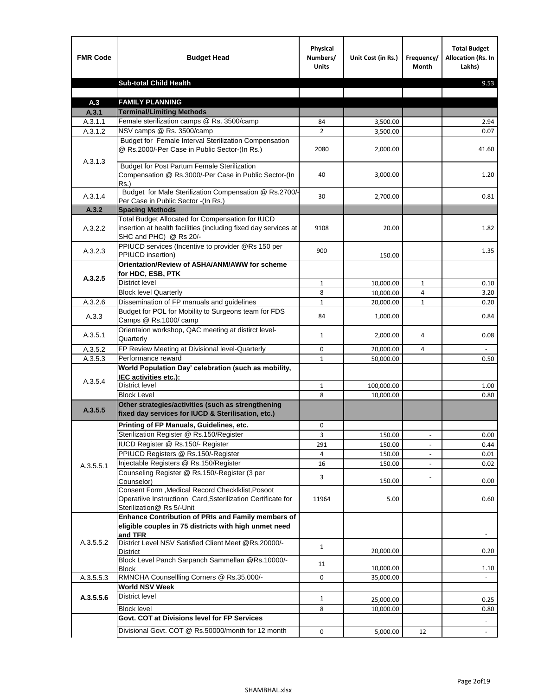| <b>FMR Code</b>    | <b>Budget Head</b>                                                                                                                             | Physical<br>Numbers/<br><b>Units</b> | Unit Cost (in Rs.) | Frequency/<br>Month      | <b>Total Budget</b><br><b>Allocation (Rs. In</b><br>Lakhs) |
|--------------------|------------------------------------------------------------------------------------------------------------------------------------------------|--------------------------------------|--------------------|--------------------------|------------------------------------------------------------|
|                    | <b>Sub-total Child Health</b>                                                                                                                  |                                      |                    |                          | 9.53                                                       |
|                    |                                                                                                                                                |                                      |                    |                          |                                                            |
| A.3                | <b>FAMILY PLANNING</b>                                                                                                                         |                                      |                    |                          |                                                            |
| A.3.1              | <b>Terminal/Limiting Methods</b>                                                                                                               |                                      |                    |                          |                                                            |
| A.3.1.1<br>A.3.1.2 | Female sterilization camps @ Rs. 3500/camp<br>NSV camps @ Rs. 3500/camp                                                                        | 84<br>$\overline{2}$                 | 3,500.00           |                          | 2.94<br>0.07                                               |
|                    | Budget for Female Interval Sterilization Compensation                                                                                          |                                      | 3,500.00           |                          |                                                            |
| A.3.1.3            | @ Rs.2000/-Per Case in Public Sector-(In Rs.)                                                                                                  | 2080                                 | 2,000.00           |                          | 41.60                                                      |
|                    | <b>Budget for Post Partum Female Sterilization</b><br>Compensation @ Rs.3000/-Per Case in Public Sector-(In<br>$Rs.$ )                         | 40                                   | 3,000.00           |                          | 1.20                                                       |
| A.3.1.4            | Budget for Male Sterilization Compensation @ Rs.2700/-<br>Per Case in Public Sector -(In Rs.)                                                  | 30                                   | 2,700.00           |                          | 0.81                                                       |
| A.3.2              | <b>Spacing Methods</b>                                                                                                                         |                                      |                    |                          |                                                            |
| A.3.2.2            | Total Budget Allocated for Compensation for IUCD<br>insertion at health facilities (including fixed day services at<br>SHC and PHC) @ Rs 20/-  | 9108                                 | 20.00              |                          | 1.82                                                       |
| A.3.2.3            | PPIUCD services (Incentive to provider @Rs 150 per<br>PPIUCD insertion)                                                                        | 900                                  | 150.00             |                          | 1.35                                                       |
| A.3.2.5            | Orientation/Review of ASHA/ANM/AWW for scheme<br>for HDC, ESB, PTK                                                                             |                                      |                    |                          |                                                            |
|                    | <b>District level</b>                                                                                                                          | $\mathbf{1}$                         | 10,000.00          | $\mathbf{1}$             | 0.10                                                       |
|                    | <b>Block level Quarterly</b>                                                                                                                   | 8                                    | 10,000.00          | 4                        | 3.20                                                       |
| A.3.2.6            | Dissemination of FP manuals and guidelines                                                                                                     | $\mathbf{1}$                         | 20,000.00          | $\mathbf{1}$             | 0.20                                                       |
| A.3.3              | Budget for POL for Mobility to Surgeons team for FDS<br>Camps @ Rs.1000/camp                                                                   | 84                                   | 1,000.00           |                          | 0.84                                                       |
| A.3.5.1            | Orientaion workshop, QAC meeting at distirct level-<br>Quarterly                                                                               | $\mathbf{1}$                         | 2,000.00           | 4                        | 0.08                                                       |
| A.3.5.2            | FP Review Meeting at Divisional level-Quarterly                                                                                                | 0                                    | 20,000.00          | 4                        |                                                            |
| A.3.5.3            | Performance reward                                                                                                                             | $\mathbf{1}$                         | 50,000.00          |                          | 0.50                                                       |
| A.3.5.4            | World Population Day' celebration (such as mobility,<br>IEC activities etc.):                                                                  |                                      |                    |                          |                                                            |
|                    | District level                                                                                                                                 | 1                                    | 100,000.00         |                          | 1.00                                                       |
|                    | <b>Block Level</b>                                                                                                                             | 8                                    | 10.000.00          |                          | 0.80                                                       |
| A.3.5.5            | Other strategies/activities (such as strengthening<br>fixed day services for IUCD & Sterilisation, etc.)                                       |                                      |                    |                          |                                                            |
|                    | Printing of FP Manuals, Guidelines, etc.                                                                                                       | 0                                    |                    |                          |                                                            |
|                    | Sterilization Register @ Rs.150/Register                                                                                                       | 3                                    | 150.00             | $\overline{\phantom{a}}$ | 0.00                                                       |
|                    | IUCD Register @ Rs.150/- Register                                                                                                              | 291                                  | 150.00             |                          | 0.44                                                       |
|                    | PPIUCD Registers @ Rs.150/-Register                                                                                                            | 4                                    | 150.00             |                          | 0.01                                                       |
| A.3.5.5.1          | Injectable Registers @ Rs.150/Register                                                                                                         | 16                                   | 150.00             |                          | 0.02                                                       |
|                    | Counseling Register @ Rs.150/-Register (3 per<br>Counselor)                                                                                    | 3                                    | 150.00             |                          | 0.00                                                       |
|                    | Consent Form , Medical Record CheckIklist, Posoot<br>Operatiive Instructionn Card, Ssterilization Certificate for<br>Sterilization@ Rs 5/-Unit | 11964                                | 5.00               |                          | 0.60                                                       |
|                    | Enhance Contribution of PRIs and Family members of<br>eligible couples in 75 districts with high unmet need<br>and TFR                         |                                      |                    |                          |                                                            |
| A.3.5.5.2          | District Level NSV Satisfied Client Meet @Rs.20000/-<br>District                                                                               | $\mathbf{1}$                         | 20,000.00          |                          | 0.20                                                       |
|                    | Block Level Panch Sarpanch Sammellan @Rs.10000/-<br>Block                                                                                      | 11                                   | 10,000.00          |                          | 1.10                                                       |
| A.3.5.5.3          | RMNCHA Counsellling Corners @ Rs.35,000/-                                                                                                      | 0                                    | 35,000.00          |                          |                                                            |
|                    | <b>World NSV Week</b>                                                                                                                          |                                      |                    |                          |                                                            |
| A.3.5.5.6          | District level                                                                                                                                 | $\mathbf{1}$                         | 25,000.00          |                          | 0.25                                                       |
|                    | <b>Block level</b>                                                                                                                             | 8                                    | 10,000.00          |                          | 0.80                                                       |
|                    | Govt. COT at Divisions level for FP Services                                                                                                   |                                      |                    |                          |                                                            |
|                    | Divisional Govt. COT @ Rs.50000/month for 12 month                                                                                             | 0                                    | 5,000.00           | 12                       | $\blacksquare$                                             |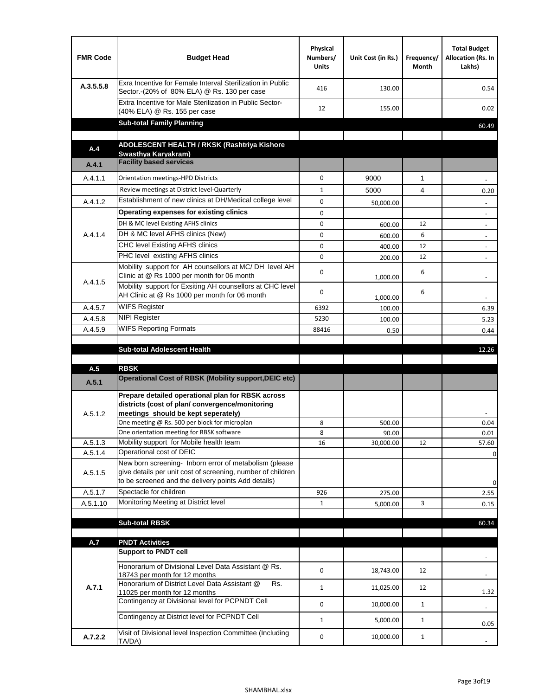| <b>FMR Code</b> | <b>Budget Head</b>                                                                                                                                                           | Physical<br>Numbers/<br><b>Units</b> | Unit Cost (in Rs.) | Frequency/<br>Month | <b>Total Budget</b><br>Allocation (Rs. In<br>Lakhs) |
|-----------------|------------------------------------------------------------------------------------------------------------------------------------------------------------------------------|--------------------------------------|--------------------|---------------------|-----------------------------------------------------|
| A.3.5.5.8       | Exra Incentive for Female Interval Sterilization in Public<br>Sector.-(20% of 80% ELA) @ Rs. 130 per case                                                                    | 416                                  | 130.00             |                     | 0.54                                                |
|                 | Extra Incentive for Male Sterilization in Public Sector-<br>(40% ELA) @ Rs. 155 per case                                                                                     | 12                                   | 155.00             |                     | 0.02                                                |
|                 | <b>Sub-total Family Planning</b>                                                                                                                                             |                                      |                    |                     | 60.49                                               |
|                 | ADOLESCENT HEALTH / RKSK (Rashtriya Kishore                                                                                                                                  |                                      |                    |                     |                                                     |
| A.4             | Swasthya Karyakram)                                                                                                                                                          |                                      |                    |                     |                                                     |
| A.4.1           | <b>Facility based services</b>                                                                                                                                               |                                      |                    |                     |                                                     |
| A.4.1.1         | Orientation meetings-HPD Districts                                                                                                                                           | $\Omega$                             | 9000               | $\mathbf{1}$        |                                                     |
|                 | Review meetings at District level-Quarterly                                                                                                                                  | $\mathbf{1}$                         | 5000               | 4                   | 0.20                                                |
| A.4.1.2         | Establishment of new clinics at DH/Medical college level                                                                                                                     | $\Omega$                             | 50,000.00          |                     |                                                     |
|                 | Operating expenses for existing clinics                                                                                                                                      | 0                                    |                    |                     |                                                     |
|                 | DH & MC level Existing AFHS clinics                                                                                                                                          | 0                                    | 600.00             | 12                  |                                                     |
| A.4.1.4         | DH & MC level AFHS clinics (New)                                                                                                                                             | 0                                    | 600.00             | 6                   | $\overline{\phantom{a}}$                            |
|                 | CHC level Existing AFHS clinics                                                                                                                                              | 0                                    | 400.00             | 12                  | $\overline{\phantom{a}}$                            |
|                 | PHC level existing AFHS clinics                                                                                                                                              | $\Omega$                             | 200.00             | 12                  | $\blacksquare$                                      |
| A.4.1.5         | Mobility support for AH counsellors at MC/DH level AH<br>Clinic at @ Rs 1000 per month for 06 month                                                                          | 0                                    | 1,000.00           | 6                   |                                                     |
|                 | Mobility support for Exsiting AH counsellors at CHC level<br>AH Clinic at @ Rs 1000 per month for 06 month                                                                   | 0                                    | 1,000.00           | 6                   |                                                     |
| A.4.5.7         | <b>WIFS Register</b>                                                                                                                                                         | 6392                                 | 100.00             |                     | 6.39                                                |
| A.4.5.8         | <b>NIPI Register</b>                                                                                                                                                         | 5230                                 | 100.00             |                     | 5.23                                                |
| A.4.5.9         | <b>WIFS Reporting Formats</b>                                                                                                                                                | 88416                                | 0.50               |                     | 0.44                                                |
|                 |                                                                                                                                                                              |                                      |                    |                     |                                                     |
|                 | <b>Sub-total Adolescent Health</b>                                                                                                                                           |                                      |                    |                     | 12.26                                               |
| A.5             | <b>RBSK</b>                                                                                                                                                                  |                                      |                    |                     |                                                     |
| A.5.1           | <b>Operational Cost of RBSK (Mobility support, DEIC etc)</b>                                                                                                                 |                                      |                    |                     |                                                     |
| A.5.1.2         | Prepare detailed operational plan for RBSK across<br>districts (cost of plan/convergence/monitoring<br>meetings should be kept seperately)                                   |                                      |                    |                     |                                                     |
|                 | One meeting @ Rs. 500 per block for microplan                                                                                                                                | 8                                    | 500.00             |                     | 0.04                                                |
|                 | One orientation meeting for RBSK software                                                                                                                                    | 8                                    | 90.00              |                     | 0.01                                                |
| A.5.1.3         | Mobility support for Mobile health team                                                                                                                                      | 16                                   | 30,000.00          | 12                  | 57.60                                               |
| A.5.1.4         | Operational cost of DEIC                                                                                                                                                     |                                      |                    |                     | 0                                                   |
| A.5.1.5         | New born screening- Inborn error of metabolism (please<br>give details per unit cost of screening, number of children<br>to be screened and the delivery points Add details) |                                      |                    |                     | 0                                                   |
| A.5.1.7         | Spectacle for children                                                                                                                                                       | 926                                  | 275.00             |                     | 2.55                                                |
| A.5.1.10        | Monitoring Meeting at District level                                                                                                                                         | $\mathbf{1}$                         | 5,000.00           | 3                   | 0.15                                                |
|                 |                                                                                                                                                                              |                                      |                    |                     |                                                     |
|                 | <b>Sub-total RBSK</b>                                                                                                                                                        |                                      |                    |                     | 60.34                                               |
| A.7             | <b>PNDT Activities</b>                                                                                                                                                       |                                      |                    |                     |                                                     |
|                 | <b>Support to PNDT cell</b>                                                                                                                                                  |                                      |                    |                     |                                                     |
|                 | Honorarium of Divisional Level Data Assistant @ Rs.                                                                                                                          | 0                                    | 18,743.00          | 12                  |                                                     |
| A.7.1           | 18743 per month for 12 months<br>Honorarium of District Level Data Assistant @<br>Rs.                                                                                        | $\mathbf{1}$                         | 11,025.00          | 12                  |                                                     |
|                 | 11025 per month for 12 months<br>Contingency at Divisional level for PCPNDT Cell                                                                                             | 0                                    | 10,000.00          | $\mathbf{1}$        | 1.32<br>$\overline{\phantom{a}}$                    |
|                 | Contingency at District level for PCPNDT Cell                                                                                                                                | $\mathbf{1}$                         | 5,000.00           | $\mathbf{1}$        | 0.05                                                |
| A.7.2.2         | Visit of Divisional level Inspection Committee (Including<br>TA/DA)                                                                                                          | 0                                    | 10,000.00          | $\mathbf{1}$        |                                                     |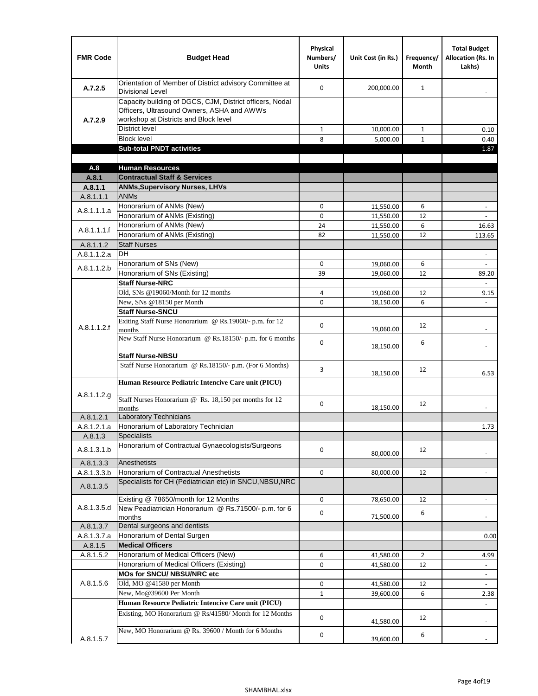| <b>FMR Code</b> | <b>Budget Head</b>                                                                                                                              | Physical<br>Numbers/<br><b>Units</b> | Unit Cost (in Rs.)     | Frequency/<br>Month | <b>Total Budget</b><br>Allocation (Rs. In<br>Lakhs) |
|-----------------|-------------------------------------------------------------------------------------------------------------------------------------------------|--------------------------------------|------------------------|---------------------|-----------------------------------------------------|
| A.7.2.5         | Orientation of Member of District advisory Committee at<br>Divisional Level                                                                     | $\Omega$                             | 200,000.00             | $\mathbf{1}$        | $\overline{\phantom{a}}$                            |
| A.7.2.9         | Capacity building of DGCS, CJM, District officers, Nodal<br>Officers, Ultrasound Owners, ASHA and AWWs<br>workshop at Districts and Block level |                                      |                        |                     |                                                     |
|                 | <b>District level</b>                                                                                                                           | $\mathbf{1}$                         | 10,000.00              | $\mathbf{1}$        | 0.10                                                |
|                 | <b>Block level</b>                                                                                                                              | 8                                    | 5,000.00               | $\mathbf{1}$        | 0.40                                                |
|                 | <b>Sub-total PNDT activities</b>                                                                                                                |                                      |                        |                     | 1.87                                                |
|                 |                                                                                                                                                 |                                      |                        |                     |                                                     |
| A.8             | <b>Human Resources</b>                                                                                                                          |                                      |                        |                     |                                                     |
| A.8.1           | <b>Contractual Staff &amp; Services</b>                                                                                                         |                                      |                        |                     |                                                     |
| A.8.1.1         | <b>ANMs, Supervisory Nurses, LHVs</b>                                                                                                           |                                      |                        |                     |                                                     |
| A.8.1.1.1       | <b>ANMs</b>                                                                                                                                     |                                      |                        |                     |                                                     |
| A.8.1.1.1.a     | Honorarium of ANMs (New)<br>Honorarium of ANMs (Existing)                                                                                       | 0<br>0                               | 11,550.00              | 6<br>12             | $\overline{a}$                                      |
|                 | Honorarium of ANMs (New)                                                                                                                        | 24                                   | 11,550.00<br>11,550.00 | 6                   | 16.63                                               |
| A.8.1.1.1.f     | Honorarium of ANMs (Existing)                                                                                                                   | 82                                   | 11,550.00              | 12                  | 113.65                                              |
| A.8.1.1.2       | <b>Staff Nurses</b>                                                                                                                             |                                      |                        |                     |                                                     |
| A.8.1.1.2.a     | <b>DH</b>                                                                                                                                       |                                      |                        |                     | $\frac{1}{2}$                                       |
|                 | Honorarium of SNs (New)                                                                                                                         | 0                                    | 19,060.00              | 6                   |                                                     |
| A.8.1.1.2.b     | Honorarium of SNs (Existing)                                                                                                                    | 39                                   | 19,060.00              | 12                  | 89.20                                               |
|                 | <b>Staff Nurse-NRC</b>                                                                                                                          |                                      |                        |                     |                                                     |
|                 | Old, SNs @19060/Month for 12 months                                                                                                             | 4                                    | 19,060.00              | 12                  | 9.15                                                |
|                 | New, SNs @18150 per Month                                                                                                                       | 0                                    | 18,150.00              | 6                   |                                                     |
|                 | <b>Staff Nurse-SNCU</b>                                                                                                                         |                                      |                        |                     |                                                     |
| A.8.1.1.2.f     | Exiting Staff Nurse Honorarium @ Rs.19060/- p.m. for 12<br>months                                                                               | 0                                    | 19,060.00              | 12                  |                                                     |
|                 | New Staff Nurse Honorarium @ Rs.18150/- p.m. for 6 months                                                                                       | 0                                    | 18,150.00              | 6                   |                                                     |
|                 | <b>Staff Nurse-NBSU</b>                                                                                                                         |                                      |                        |                     |                                                     |
|                 | Staff Nurse Honorarium @ Rs.18150/- p.m. (For 6 Months)                                                                                         | 3                                    | 18,150.00              | 12                  | 6.53                                                |
|                 | Human Resource Pediatric Intencive Care unit (PICU)                                                                                             |                                      |                        |                     |                                                     |
| A.8.1.1.2.g     | Staff Nurses Honorarium @ $\overline{Rs. 18,150}$ per months for 12<br>months                                                                   | 0                                    | 18,150.00              | 12                  |                                                     |
| A.8.1.2.1       | <b>Laboratory Technicians</b>                                                                                                                   |                                      |                        |                     |                                                     |
| A.8.1.2.1.a     | Honorarium of Laboratory Technician                                                                                                             |                                      |                        |                     | 1.73                                                |
| A.8.1.3         | <b>Specialists</b>                                                                                                                              |                                      |                        |                     |                                                     |
| A.8.1.3.1.b     | Honorarium of Contractual Gynaecologists/Surgeons                                                                                               | 0                                    | 80,000.00              | 12                  |                                                     |
| A.8.1.3.3       | Anesthetists                                                                                                                                    |                                      |                        |                     |                                                     |
| A.8.1.3.3.b     | Honorarium of Contractual Anesthetists                                                                                                          | 0                                    | 80,000.00              | 12                  |                                                     |
| A.8.1.3.5       | Specialists for CH (Pediatrician etc) in SNCU, NBSU, NRC                                                                                        |                                      |                        |                     |                                                     |
|                 | Existing @ 78650/month for 12 Months                                                                                                            | 0                                    | 78,650.00              | 12                  | $\blacksquare$                                      |
| A.8.1.3.5.d     | New Peadiatrician Honorarium @ Rs.71500/- p.m. for 6<br>months                                                                                  | 0                                    | 71,500.00              | 6                   |                                                     |
| A.8.1.3.7       | Dental surgeons and dentists                                                                                                                    |                                      |                        |                     |                                                     |
| A.8.1.3.7.a     | Honorarium of Dental Surgen                                                                                                                     |                                      |                        |                     | 0.00                                                |
| A.8.1.5         | <b>Medical Officers</b>                                                                                                                         |                                      |                        |                     |                                                     |
| A.8.1.5.2       | Honorarium of Medical Officers (New)                                                                                                            | 6                                    | 41,580.00              | $\overline{2}$      | 4.99                                                |
|                 | Honorarium of Medical Officers (Existing)                                                                                                       | 0                                    | 41,580.00              | 12                  |                                                     |
|                 | MOs for SNCU/ NBSU/NRC etc                                                                                                                      |                                      |                        |                     |                                                     |
| A.8.1.5.6       | Old, MO @41580 per Month<br>New, Mo@39600 Per Month                                                                                             | 0                                    | 41,580.00              | 12                  |                                                     |
|                 | Human Resource Pediatric Intencive Care unit (PICU)                                                                                             | $\mathbf{1}$                         | 39,600.00              | 6                   | 2.38                                                |
|                 | Existing, MO Honorarium @ Rs/41580/ Month for 12 Months                                                                                         |                                      |                        |                     |                                                     |
|                 | New, MO Honorarium @ Rs. 39600 / Month for 6 Months                                                                                             | $\mathbf 0$                          | 41,580.00              | 12                  |                                                     |
| A.8.1.5.7       |                                                                                                                                                 | 0                                    | 39,600.00              | 6                   |                                                     |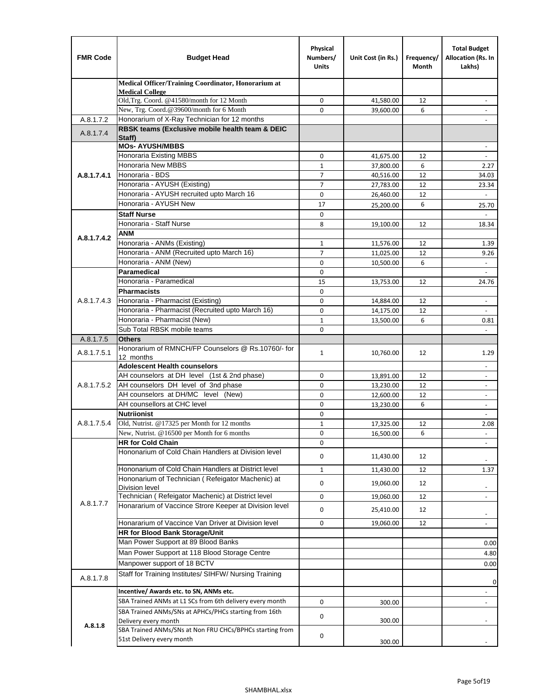| <b>FMR Code</b> | <b>Budget Head</b>                                                               | Physical<br>Numbers/<br><b>Units</b> | Unit Cost (in Rs.)     | Frequency/<br>Month | <b>Total Budget</b><br>Allocation (Rs. In<br>Lakhs) |
|-----------------|----------------------------------------------------------------------------------|--------------------------------------|------------------------|---------------------|-----------------------------------------------------|
|                 | Medical Officer/Training Coordinator, Honorarium at                              |                                      |                        |                     |                                                     |
|                 | <b>Medical College</b><br>Old, Trg. Coord. @41580/month for 12 Month             | 0                                    | 41,580.00              | 12                  |                                                     |
|                 | New, Trg. Coord.@39600/month for 6 Month                                         | $\Omega$                             | 39,600.00              | 6                   |                                                     |
| A.8.1.7.2       | Honorarium of X-Ray Technician for 12 months                                     |                                      |                        |                     |                                                     |
| A.8.1.7.4       | RBSK teams (Exclusive mobile health team & DEIC<br>Staff)                        |                                      |                        |                     |                                                     |
|                 | <b>MOs- AYUSH/MBBS</b>                                                           |                                      |                        |                     | $\overline{\phantom{a}}$                            |
|                 | Honoraria Existing MBBS                                                          | $\mathbf 0$                          | 41,675.00              | 12                  | $\blacksquare$                                      |
|                 | Honoraria New MBBS                                                               | $\mathbf{1}$                         | 37,800.00              | 6                   | 2.27                                                |
| A.8.1.7.4.1     | Honoraria - BDS                                                                  | 7                                    | 40,516.00              | 12                  | 34.03                                               |
|                 | Honoraria - AYUSH (Existing)                                                     | $\overline{7}$                       | 27,783.00              | 12                  | 23.34                                               |
|                 | Honoraria - AYUSH recruited upto March 16                                        | $\mathbf 0$                          | 26,460.00              | 12                  |                                                     |
|                 | Honoraria - AYUSH New                                                            | 17                                   | 25,200.00              | 6                   | 25.70                                               |
|                 | <b>Staff Nurse</b>                                                               | $\mathbf 0$                          |                        |                     | $\mathbf{r}$                                        |
|                 | Honoraria - Staff Nurse                                                          | 8                                    | 19,100.00              | 12                  | 18.34                                               |
| A.8.1.7.4.2     | ANM<br>Honoraria - ANMs (Existing)                                               |                                      |                        |                     |                                                     |
|                 | Honoraria - ANM (Recruited upto March 16)                                        | $\mathbf{1}$<br>$\overline{7}$       | 11,576.00              | 12<br>12            | 1.39<br>9.26                                        |
|                 | Honoraria - ANM (New)                                                            | $\mathbf 0$                          | 11,025.00<br>10,500.00 | 6                   |                                                     |
|                 | <b>Paramedical</b>                                                               | $\mathbf 0$                          |                        |                     | $\overline{\phantom{a}}$                            |
|                 | Honoraria - Paramedical                                                          | 15                                   | 13,753.00              | 12                  | 24.76                                               |
|                 | <b>Pharmacists</b>                                                               | $\mathbf 0$                          |                        |                     |                                                     |
| A.8.1.7.4.3     | Honoraria - Pharmacist (Existing)                                                | 0                                    | 14,884.00              | 12                  | $\overline{\phantom{a}}$                            |
|                 | Honoraria - Pharmacist (Recruited upto March 16)                                 | $\mathbf 0$                          | 14,175.00              | 12                  |                                                     |
|                 | Honoraria - Pharmacist (New)                                                     | $\mathbf{1}$                         | 13,500.00              | 6                   | 0.81                                                |
|                 | Sub Total RBSK mobile teams                                                      | 0                                    |                        |                     | $\blacksquare$                                      |
| A.8.1.7.5       | <b>Others</b>                                                                    |                                      |                        |                     |                                                     |
| A.8.1.7.5.1     | Honorarium of RMNCH/FP Counselors @ Rs.10760/- for<br>12 months                  | $\mathbf{1}$                         | 10,760.00              | 12                  | 1.29                                                |
|                 | <b>Adolescent Health counselors</b>                                              |                                      |                        |                     | $\overline{\phantom{a}}$                            |
|                 | AH counselors at DH level (1st & 2nd phase)                                      | $\mathbf 0$                          | 13,891.00              | 12                  | $\overline{\phantom{a}}$                            |
| A.8.1.7.5.2     | AH counselors DH level of 3nd phase                                              | $\mathbf 0$                          | 13,230.00              | 12                  | $\overline{\phantom{a}}$                            |
|                 | AH counselors at DH/MC level (New)                                               | 0                                    | 12,600.00              | 12                  | $\overline{\phantom{a}}$                            |
|                 | AH counsellors at CHC level                                                      | $\mathbf 0$                          | 13,230.00              | 6                   | $\blacksquare$                                      |
|                 | <b>Nutriionist</b>                                                               | $\mathbf 0$                          |                        |                     | $\overline{\phantom{a}}$                            |
| A.8.1.7.5.4     | Old, Nutrist. @17325 per Month for 12 months                                     | $\mathbf{1}$                         | 17,325.00              | 12                  | 2.08                                                |
|                 | New, Nutrist. @16500 per Month for 6 months                                      | 0                                    | 16,500.00              | 6                   |                                                     |
|                 | <b>HR for Cold Chain</b>                                                         | 0                                    |                        |                     |                                                     |
|                 | Hononarium of Cold Chain Handlers at Division level                              | 0                                    | 11,430.00              | 12                  |                                                     |
|                 | Hononarium of Cold Chain Handlers at District level                              | 1                                    | 11,430.00              | 12                  | 1.37                                                |
|                 | Hononarium of Technician (Refeigator Machenic) at<br><b>Division level</b>       | 0                                    | 19,060.00              | 12                  |                                                     |
|                 | Technician (Refeigator Machenic) at District level                               | 0                                    | 19,060.00              | 12                  | $\overline{\phantom{a}}$                            |
| A.8.1.7.7       | Honararium of Vaccince Strore Keeper at Division level                           | 0                                    | 25,410.00              | 12                  |                                                     |
|                 | Honararium of Vaccince Van Driver at Division level                              | 0                                    | 19,060.00              | 12                  | $\overline{\phantom{a}}$<br>$\blacksquare$          |
|                 | <b>HR for Blood Bank Storage/Unit</b>                                            |                                      |                        |                     |                                                     |
|                 | Man Power Support at 89 Blood Banks                                              |                                      |                        |                     | 0.00                                                |
|                 | Man Power Support at 118 Blood Storage Centre                                    |                                      |                        |                     | 4.80                                                |
|                 | Manpower support of 18 BCTV                                                      |                                      |                        |                     | 0.00                                                |
| A.8.1.7.8       | Staff for Training Institutes/ SIHFW/ Nursing Training                           |                                      |                        |                     | 0                                                   |
|                 | Incentive/ Awards etc. to SN, ANMs etc.                                          |                                      |                        |                     |                                                     |
|                 | SBA Trained ANMs at L1 SCs from 6th delivery every month                         | 0                                    | 300.00                 |                     | $\overline{\phantom{a}}$                            |
|                 | SBA Trained ANMs/SNs at APHCs/PHCs starting from 16th                            | 0                                    |                        |                     |                                                     |
| A.8.1.8         | Delivery every month<br>SBA Trained ANMs/SNs at Non FRU CHCs/BPHCs starting from |                                      | 300.00                 |                     |                                                     |
|                 | 51st Delivery every month                                                        | 0                                    | 300.00                 |                     |                                                     |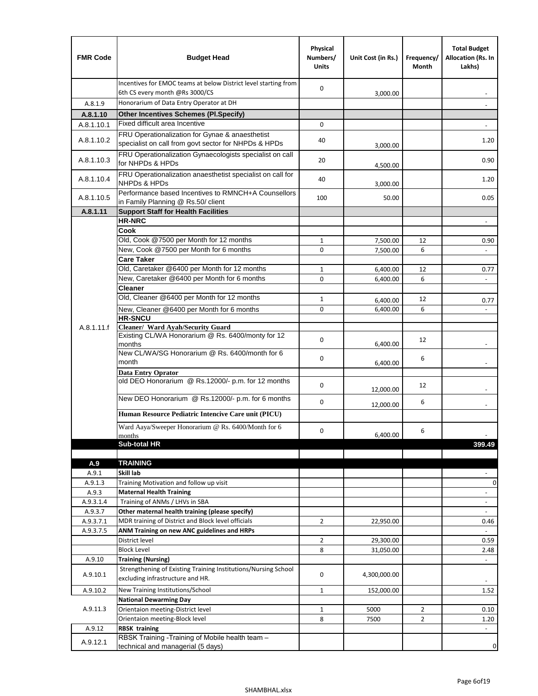| <b>FMR Code</b> | <b>Budget Head</b>                                                                                      | Physical<br>Numbers/<br><b>Units</b> | Unit Cost (in Rs.)   | Frequency/<br>Month | <b>Total Budget</b><br>Allocation (Rs. In<br>Lakhs) |
|-----------------|---------------------------------------------------------------------------------------------------------|--------------------------------------|----------------------|---------------------|-----------------------------------------------------|
|                 | Incentives for EMOC teams at below District level starting from<br>6th CS every month @Rs 3000/CS       | 0                                    | 3,000.00             |                     |                                                     |
| A.8.1.9         | Honorarium of Data Entry Operator at DH                                                                 |                                      |                      |                     |                                                     |
| A.8.1.10        | <b>Other Incentives Schemes (Pl.Specify)</b>                                                            |                                      |                      |                     |                                                     |
| A.8.1.10.1      | Fixed difficult area Incentive                                                                          | 0                                    |                      |                     |                                                     |
| A.8.1.10.2      | FRU Operationalization for Gynae & anaesthetist<br>specialist on call from govt sector for NHPDs & HPDs | 40                                   | 3,000.00             |                     | 1.20                                                |
| A.8.1.10.3      | FRU Operationalization Gynaecologists specialist on call<br>for NHPDs & HPDs                            | 20                                   | 4,500.00             |                     | 0.90                                                |
| A.8.1.10.4      | FRU Operationalization anaesthetist specialist on call for<br><b>NHPDs &amp; HPDs</b>                   | 40                                   | 3,000.00             |                     | 1.20                                                |
| A.8.1.10.5      | Performance based Incentives to RMNCH+A Counsellors<br>in Family Planning @ Rs.50/ client               | 100                                  | 50.00                |                     | 0.05                                                |
| A.8.1.11        | <b>Support Staff for Health Facilities</b>                                                              |                                      |                      |                     |                                                     |
|                 | <b>HR-NRC</b>                                                                                           |                                      |                      |                     | $\overline{\phantom{m}}$                            |
|                 | Cook                                                                                                    |                                      |                      |                     |                                                     |
|                 | Old, Cook @7500 per Month for 12 months                                                                 | $\mathbf{1}$                         | 7,500.00             | 12                  | 0.90                                                |
|                 | New, Cook @7500 per Month for 6 months<br><b>Care Taker</b>                                             | 0                                    | 7,500.00             | 6                   | $\blacksquare$                                      |
|                 | Old, Caretaker @6400 per Month for 12 months                                                            | 1                                    | 6,400.00             | 12                  | 0.77                                                |
|                 | New, Caretaker @6400 per Month for 6 months                                                             | 0                                    | 6,400.00             | 6                   | $\overline{\phantom{a}}$                            |
|                 | <b>Cleaner</b>                                                                                          |                                      |                      |                     |                                                     |
|                 | Old, Cleaner @6400 per Month for 12 months                                                              | 1                                    |                      | 12                  |                                                     |
|                 | New, Cleaner @6400 per Month for 6 months                                                               | 0                                    | 6,400.00<br>6,400.00 | 6                   | 0.77                                                |
|                 | <b>HR-SNCU</b>                                                                                          |                                      |                      |                     |                                                     |
| A.8.1.11.f      | Cleaner/ Ward Ayah/Security Guard                                                                       |                                      |                      |                     |                                                     |
|                 | Existing CL/WA Honorarium @ Rs. 6400/monty for 12<br>months                                             | 0                                    | 6,400.00             | 12                  |                                                     |
|                 | New CL/WA/SG Honorarium @ Rs. 6400/month for 6<br>month                                                 | 0                                    | 6,400.00             | 6                   |                                                     |
|                 | <b>Data Entry Oprator</b><br>old DEO Honorarium @ Rs.12000/- p.m. for 12 months                         | 0                                    |                      | 12                  |                                                     |
|                 | New DEO Honorarium @ Rs.12000/- p.m. for 6 months                                                       |                                      | 12,000.00            |                     |                                                     |
|                 |                                                                                                         | 0                                    | 12,000.00            | 6                   |                                                     |
|                 | Human Resource Pediatric Intencive Care unit (PICU)                                                     |                                      |                      |                     |                                                     |
|                 | Ward Aaya/Sweeper Honorarium @ Rs. 6400/Month for 6                                                     | 0                                    |                      | 6                   |                                                     |
|                 | months<br><b>Sub-total HR</b>                                                                           |                                      | 6,400.00             |                     | 399.49                                              |
|                 |                                                                                                         |                                      |                      |                     |                                                     |
| A.9             | <b>TRAINING</b>                                                                                         |                                      |                      |                     |                                                     |
| A.9.1           | Skill lab                                                                                               |                                      |                      |                     |                                                     |
| A.9.1.3         | Training Motivation and follow up visit                                                                 |                                      |                      |                     | 0                                                   |
| A.9.3           | <b>Maternal Health Training</b>                                                                         |                                      |                      |                     | $\blacksquare$                                      |
| A.9.3.1.4       | Training of ANMs / LHVs in SBA                                                                          |                                      |                      |                     | $\overline{\phantom{a}}$                            |
| A.9.3.7         | Other maternal health training (please specify)                                                         |                                      |                      |                     | $\overline{\phantom{a}}$                            |
| A.9.3.7.1       | MDR training of District and Block level officials                                                      | $\overline{2}$                       | 22,950.00            |                     | 0.46                                                |
| A.9.3.7.5       | ANM Training on new ANC guidelines and HRPs                                                             |                                      |                      |                     |                                                     |
|                 | District level                                                                                          | 2                                    | 29,300.00            |                     | 0.59                                                |
|                 | <b>Block Level</b>                                                                                      | 8                                    | 31,050.00            |                     | 2.48                                                |
| A.9.10          | <b>Training (Nursing)</b><br>Strengthening of Existing Training Institutions/Nursing School             |                                      |                      |                     |                                                     |
| A.9.10.1        | excluding infrastructure and HR.                                                                        | 0                                    | 4,300,000.00         |                     |                                                     |
| A.9.10.2        | New Training Institutions/School                                                                        | $\mathbf{1}$                         | 152,000.00           |                     | 1.52                                                |
|                 | <b>National Dewarming Day</b>                                                                           |                                      |                      |                     |                                                     |
| A.9.11.3        | Orientaion meeting-District level                                                                       | 1                                    | 5000                 | $\overline{2}$      | 0.10                                                |
|                 | Orientaion meeting-Block level                                                                          | 8                                    | 7500                 | $\overline{2}$      | 1.20                                                |
| A.9.12          | <b>RBSK training</b>                                                                                    |                                      |                      |                     |                                                     |
| A.9.12.1        | RBSK Training -Training of Mobile health team -<br>technical and managerial (5 days)                    |                                      |                      |                     | 0                                                   |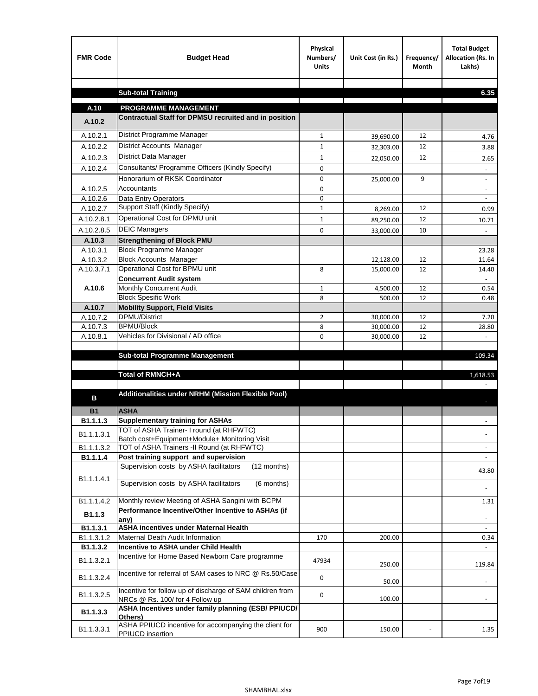| <b>FMR Code</b>    | <b>Budget Head</b>                                                                     | Physical<br>Numbers/<br><b>Units</b> | Unit Cost (in Rs.)     | Frequency/<br><b>Month</b> | <b>Total Budget</b><br>Allocation (Rs. In<br>Lakhs) |
|--------------------|----------------------------------------------------------------------------------------|--------------------------------------|------------------------|----------------------------|-----------------------------------------------------|
|                    |                                                                                        |                                      |                        |                            |                                                     |
|                    | <b>Sub-total Training</b>                                                              |                                      |                        |                            | 6.35                                                |
| A.10               | <b>PROGRAMME MANAGEMENT</b>                                                            |                                      |                        |                            |                                                     |
| A.10.2             | Contractual Staff for DPMSU recruited and in position                                  |                                      |                        |                            |                                                     |
| A.10.2.1           | District Programme Manager                                                             | $\mathbf{1}$                         |                        | 12                         |                                                     |
| A.10.2.2           | District Accounts Manager                                                              | 1                                    | 39,690.00              | 12                         | 4.76                                                |
| A.10.2.3           | District Data Manager                                                                  | $\mathbf{1}$                         | 32,303.00              | 12                         | 3.88                                                |
| A.10.2.4           | Consultants/ Programme Officers (Kindly Specify)                                       | $\mathbf 0$                          | 22,050.00              |                            | 2.65                                                |
|                    | Honorarium of RKSK Coordinator                                                         | 0                                    |                        | 9                          |                                                     |
| A.10.2.5           | Accountants                                                                            | 0                                    | 25,000.00              |                            | $\overline{\phantom{a}}$                            |
| A.10.2.6           | Data Entry Operators                                                                   | 0                                    |                        |                            | $\overline{\phantom{a}}$                            |
| A.10.2.7           | Support Staff (Kindly Specify)                                                         | $\mathbf{1}$                         | 8,269.00               | 12                         | 0.99                                                |
| A.10.2.8.1         | Operational Cost for DPMU unit                                                         | $\mathbf{1}$                         | 89,250.00              | 12                         | 10.71                                               |
| A.10.2.8.5         | <b>DEIC Managers</b>                                                                   | $\mathbf 0$                          | 33,000.00              | 10                         |                                                     |
| A.10.3             | <b>Strengthening of Block PMU</b>                                                      |                                      |                        |                            |                                                     |
| A.10.3.1           | <b>Block Programme Manager</b>                                                         |                                      |                        |                            | 23.28                                               |
| A.10.3.2           | <b>Block Accounts Manager</b>                                                          |                                      | 12,128.00              | 12                         | 11.64                                               |
| A.10.3.7.1         | Operational Cost for BPMU unit                                                         | 8                                    | 15,000.00              | 12                         | 14.40                                               |
|                    | <b>Concurrent Audit system</b>                                                         |                                      |                        |                            |                                                     |
| A.10.6             | Monthly Concurrent Audit                                                               | $\mathbf{1}$                         | 4,500.00               | 12                         | 0.54                                                |
|                    | <b>Block Spesific Work</b>                                                             | 8                                    | 500.00                 | 12                         | 0.48                                                |
| A.10.7<br>A.10.7.2 | <b>Mobility Support, Field Visits</b><br><b>DPMU/District</b>                          |                                      |                        |                            |                                                     |
| A.10.7.3           | <b>BPMU/Block</b>                                                                      | $\overline{2}$<br>8                  | 30,000.00<br>30,000.00 | 12<br>12                   | 7.20<br>28.80                                       |
| A.10.8.1           | Vehicles for Divisional / AD office                                                    | 0                                    | 30,000.00              | 12                         |                                                     |
|                    |                                                                                        |                                      |                        |                            |                                                     |
|                    | <b>Sub-total Programme Management</b>                                                  |                                      |                        |                            | 109.34                                              |
|                    |                                                                                        |                                      |                        |                            |                                                     |
|                    | Total of RMNCH+A                                                                       |                                      |                        |                            | 1,618.53                                            |
| в                  | Additionalities under NRHM (Mission Flexible Pool)                                     |                                      |                        |                            |                                                     |
| <b>B1</b>          | <b>ASHA</b>                                                                            |                                      |                        |                            |                                                     |
| B1.1.1.3           | <b>Supplementary training for ASHAs</b>                                                |                                      |                        |                            |                                                     |
|                    | TOT of ASHA Trainer- I round (at RHFWTC)                                               |                                      |                        |                            |                                                     |
| B1.1.1.3.1         | Batch cost+Equipment+Module+ Monitoring Visit                                          |                                      |                        |                            |                                                     |
| B1.1.1.3.2         | TOT of ASHA Trainers -II Round (at RHFWTC)                                             |                                      |                        |                            |                                                     |
| B1.1.1.4           | Post training support and supervision                                                  |                                      |                        |                            | $\sim$                                              |
|                    | Supervision costs by ASHA facilitators<br>(12 months)                                  |                                      |                        |                            | 43.80                                               |
| B1.1.1.4.1         | Supervision costs by ASHA facilitators<br>(6 months)                                   |                                      |                        |                            |                                                     |
| B1.1.1.4.2         | Monthly review Meeting of ASHA Sangini with BCPM                                       |                                      |                        |                            | 1.31                                                |
|                    | Performance Incentive/Other Incentive to ASHAs (if                                     |                                      |                        |                            |                                                     |
| B <sub>1.1.3</sub> | any)                                                                                   |                                      |                        |                            |                                                     |
| B1.1.3.1           | <b>ASHA incentives under Maternal Health</b>                                           |                                      |                        |                            |                                                     |
| B1.1.3.1.2         | Maternal Death Audit Information<br>Incentive to ASHA under Child Health               | 170                                  | 200.00                 |                            | 0.34                                                |
| B1.1.3.2           | Incentive for Home Based Newborn Care programme                                        |                                      |                        |                            | $\omega$                                            |
| B1.1.3.2.1         |                                                                                        | 47934                                | 250.00                 |                            | 119.84                                              |
| B1.1.3.2.4         | Incentive for referral of SAM cases to NRC @ Rs.50/Case                                | 0                                    | 50.00                  |                            |                                                     |
| B1.1.3.2.5         | Incentive for follow up of discharge of SAM children from                              | 0                                    |                        |                            |                                                     |
| B1.1.3.3           | NRCs @ Rs. 100/ for 4 Follow up<br>ASHA Incentives under family planning (ESB/ PPIUCD/ |                                      | 100.00                 |                            | $\sim$                                              |
|                    | Others)                                                                                |                                      |                        |                            |                                                     |
| B1.1.3.3.1         | ASHA PPIUCD incentive for accompanying the client for<br>PPIUCD insertion              | 900                                  | 150.00                 |                            | 1.35                                                |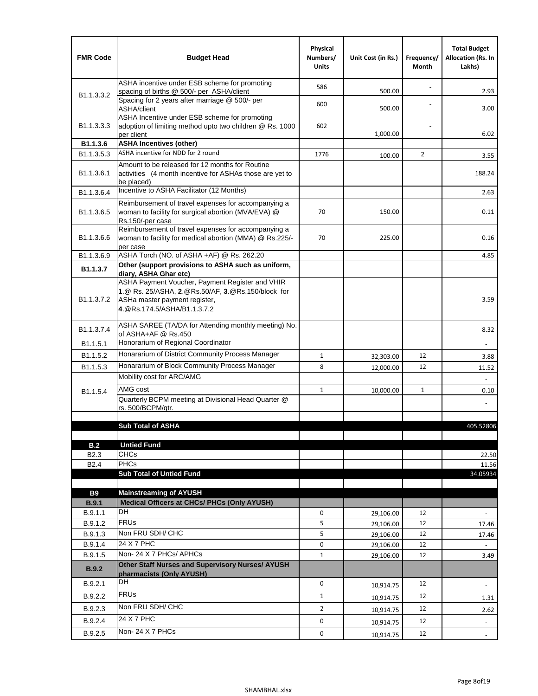| <b>FMR Code</b>            | <b>Budget Head</b>                                                                                                                                                                             | Physical<br>Numbers/<br><b>Units</b> | Unit Cost (in Rs.) | Frequency/<br>Month | <b>Total Budget</b><br><b>Allocation (Rs. In</b><br>Lakhs) |
|----------------------------|------------------------------------------------------------------------------------------------------------------------------------------------------------------------------------------------|--------------------------------------|--------------------|---------------------|------------------------------------------------------------|
|                            | ASHA incentive under ESB scheme for promoting<br>spacing of births @ 500/- per ASHA/client                                                                                                     | 586                                  | 500.00             |                     | 2.93                                                       |
| B <sub>1.1</sub> , 3, 3, 2 | Spacing for 2 years after marriage @ 500/- per<br>ASHA/client                                                                                                                                  | 600                                  | 500.00             |                     | 3.00                                                       |
| B1.1.3.3.3                 | ASHA Incentive under ESB scheme for promoting<br>adoption of limiting method upto two children @ Rs. 1000<br>per client                                                                        | 602                                  | 1,000.00           |                     | 6.02                                                       |
| B1.1.3.6                   | <b>ASHA Incentives (other)</b>                                                                                                                                                                 |                                      |                    |                     |                                                            |
| B <sub>1.1</sub> , 3, 5, 3 | ASHA incentive for NDD for 2 round                                                                                                                                                             | 1776                                 | 100.00             | $\overline{2}$      | 3.55                                                       |
| B <sub>1.1</sub> .3.6.1    | Amount to be released for 12 months for Routine<br>activities (4 month incentive for ASHAs those are yet to<br>be placed)                                                                      |                                      |                    |                     | 188.24                                                     |
| B1.1.3.6.4                 | Incentive to ASHA Facilitator (12 Months)                                                                                                                                                      |                                      |                    |                     | 2.63                                                       |
| B <sub>1.1</sub> .3.6.5    | Reimbursement of travel expenses for accompanying a<br>woman to facility for surgical abortion (MVA/EVA) @<br>Rs.150/-per case                                                                 | 70                                   | 150.00             |                     | 0.11                                                       |
| B <sub>1.1</sub> .3.6.6    | Reimbursement of travel expenses for accompanying a<br>woman to facility for medical abortion (MMA) @ Rs.225/-<br>per case                                                                     | 70                                   | 225.00             |                     | 0.16                                                       |
| B1.1.3.6.9                 | ASHA Torch (NO. of ASHA +AF) @ Rs. 262.20                                                                                                                                                      |                                      |                    |                     | 4.85                                                       |
| B1.1.3.7                   | Other (support provisions to ASHA such as uniform,                                                                                                                                             |                                      |                    |                     |                                                            |
| B <sub>1.1</sub> .3.7.2    | diary, ASHA Ghar etc)<br>ASHA Payment Voucher, Payment Register and VHIR<br>1.@ Rs. 25/ASHA, 2.@Rs.50/AF, 3.@Rs.150/block for<br>ASHa master payment register,<br>4. @Rs.174.5/ASHA/B1.1.3.7.2 |                                      |                    |                     | 3.59                                                       |
| B <sub>1.1</sub> , 3.7.4   | ASHA SAREE (TA/DA for Attending monthly meeting) No.<br>of ASHA+AF @ Rs.450                                                                                                                    |                                      |                    |                     | 8.32                                                       |
| B <sub>1.1</sub> .5.1      | Honorarium of Regional Coordinator                                                                                                                                                             |                                      |                    |                     |                                                            |
| B <sub>1.1.5.2</sub>       | Honararium of District Community Process Manager                                                                                                                                               | $\mathbf{1}$                         | 32,303.00          | 12                  | 3.88                                                       |
| B <sub>1.1.5.3</sub>       | Honararium of Block Community Process Manager                                                                                                                                                  | 8                                    | 12,000.00          | 12                  | 11.52                                                      |
|                            | Mobility cost for ARC/AMG                                                                                                                                                                      |                                      |                    |                     |                                                            |
| B <sub>1.1.5.4</sub>       | AMG cost                                                                                                                                                                                       | $\mathbf{1}$                         | 10,000.00          | 1                   | 0.10                                                       |
|                            | Quarterly BCPM meeting at Divisional Head Quarter @                                                                                                                                            |                                      |                    |                     |                                                            |
|                            | rs. 500/BCPM/qtr.                                                                                                                                                                              |                                      |                    |                     |                                                            |
|                            | <b>Sub Total of ASHA</b>                                                                                                                                                                       |                                      |                    |                     | 405.52806                                                  |
|                            |                                                                                                                                                                                                |                                      |                    |                     |                                                            |
| B.2                        | <b>Untied Fund</b>                                                                                                                                                                             |                                      |                    |                     |                                                            |
| B <sub>2.3</sub>           | <b>CHCs</b>                                                                                                                                                                                    |                                      |                    |                     | 22.50                                                      |
| B <sub>2.4</sub>           | PHCs                                                                                                                                                                                           |                                      |                    |                     | 11.56                                                      |
|                            | <b>Sub Total of Untied Fund</b>                                                                                                                                                                |                                      |                    |                     | 34.05934                                                   |
| <b>B9</b>                  | <b>Mainstreaming of AYUSH</b>                                                                                                                                                                  |                                      |                    |                     |                                                            |
| B.9.1                      | Medical Officers at CHCs/ PHCs (Only AYUSH)                                                                                                                                                    |                                      |                    |                     |                                                            |
| B.9.1.1                    | <b>DH</b>                                                                                                                                                                                      | 0                                    | 29,106.00          | 12                  | ٠                                                          |
| B.9.1.2                    | <b>FRUs</b>                                                                                                                                                                                    | 5                                    | 29,106.00          | 12                  | 17.46                                                      |
| B.9.1.3                    | Non FRU SDH/ CHC                                                                                                                                                                               | 5                                    | 29,106.00          | 12                  | 17.46                                                      |
| B.9.1.4                    | 24 X 7 PHC                                                                                                                                                                                     | 0                                    | 29,106.00          | 12                  |                                                            |
| B.9.1.5                    | Non-24 X 7 PHCs/ APHCs                                                                                                                                                                         | $\mathbf{1}$                         | 29,106.00          | 12                  | 3.49                                                       |
| B.9.2                      | Other Staff Nurses and Supervisory Nurses/ AYUSH<br>pharmacists (Only AYUSH)                                                                                                                   |                                      |                    |                     |                                                            |
| B.9.2.1                    | DH                                                                                                                                                                                             | $\mathbf 0$                          | 10,914.75          | 12                  | $\blacksquare$                                             |
| B.9.2.2                    | <b>FRUs</b>                                                                                                                                                                                    | $\mathbf{1}$                         | 10,914.75          | 12                  | 1.31                                                       |
| B.9.2.3                    | Non FRU SDH/ CHC                                                                                                                                                                               | $\overline{2}$                       | 10,914.75          | 12                  | 2.62                                                       |
| B.9.2.4                    | 24 X 7 PHC                                                                                                                                                                                     | 0                                    |                    | 12                  |                                                            |
|                            | Non-24 X 7 PHCs                                                                                                                                                                                |                                      | 10,914.75          |                     | $\overline{\phantom{m}}$                                   |
| B.9.2.5                    |                                                                                                                                                                                                | 0                                    | 10,914.75          | 12                  |                                                            |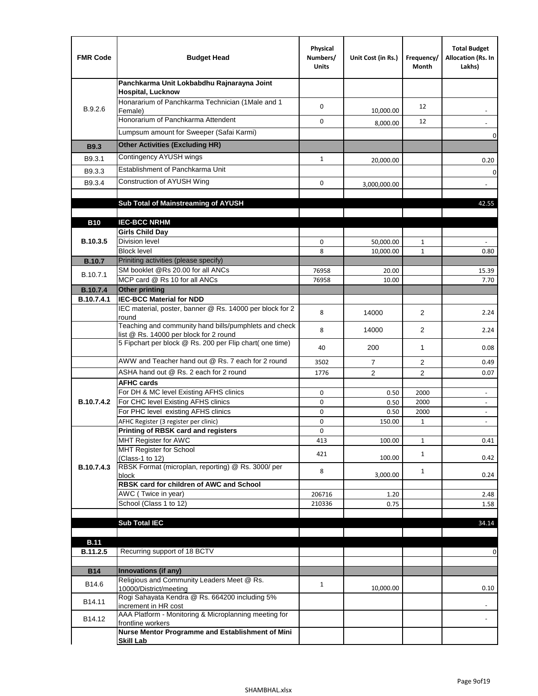| <b>FMR Code</b>   | <b>Budget Head</b>                                                                              | Physical<br>Numbers/<br><b>Units</b> | Unit Cost (in Rs.) | Frequency/<br>Month | <b>Total Budget</b><br>Allocation (Rs. In<br>Lakhs) |
|-------------------|-------------------------------------------------------------------------------------------------|--------------------------------------|--------------------|---------------------|-----------------------------------------------------|
|                   | Panchkarma Unit Lokbabdhu Rajnarayna Joint<br><b>Hospital, Lucknow</b>                          |                                      |                    |                     |                                                     |
| B.9.2.6           | Honararium of Panchkarma Technician (1Male and 1<br>Female)                                     | 0                                    | 10,000.00          | 12                  |                                                     |
|                   | Honorarium of Panchkarma Attendent                                                              | $\mathbf 0$                          | 8,000.00           | 12                  |                                                     |
|                   | Lumpsum amount for Sweeper (Safai Karmi)                                                        |                                      |                    |                     | 0                                                   |
| <b>B9.3</b>       | <b>Other Activities (Excluding HR)</b>                                                          |                                      |                    |                     |                                                     |
| B9.3.1            | Contingency AYUSH wings                                                                         | $\mathbf{1}$                         | 20,000.00          |                     | 0.20                                                |
| B9.3.3            | Establishment of Panchkarma Unit                                                                |                                      |                    |                     | $\mathbf 0$                                         |
| B9.3.4            | Construction of AYUSH Wing                                                                      | 0                                    | 3,000,000.00       |                     |                                                     |
|                   |                                                                                                 |                                      |                    |                     |                                                     |
|                   | Sub Total of Mainstreaming of AYUSH                                                             |                                      |                    |                     | 42.55                                               |
| <b>B10</b>        | <b>IEC-BCC NRHM</b>                                                                             |                                      |                    |                     |                                                     |
|                   | <b>Girls Child Day</b>                                                                          |                                      |                    |                     |                                                     |
| B.10.3.5          | <b>Division level</b>                                                                           | 0                                    | 50,000.00          | 1                   |                                                     |
|                   | <b>Block level</b>                                                                              | 8                                    | 10,000.00          | $\mathbf{1}$        | 0.80                                                |
| <b>B.10.7</b>     | Priniting activities (please specify)<br>SM booklet @Rs 20.00 for all ANCs                      |                                      |                    |                     |                                                     |
| B.10.7.1          | MCP card @ Rs 10 for all ANCs                                                                   | 76958<br>76958                       | 20.00<br>10.00     |                     | 15.39<br>7.70                                       |
| <b>B.10.7.4</b>   | <b>Other printing</b>                                                                           |                                      |                    |                     |                                                     |
| B.10.7.4.1        | <b>IEC-BCC Material for NDD</b>                                                                 |                                      |                    |                     |                                                     |
|                   | IEC material, poster, banner @ Rs. 14000 per block for 2<br>round                               | 8                                    | 14000              | $\overline{2}$      | 2.24                                                |
|                   | Teaching and community hand bills/pumphlets and check<br>list @ Rs. 14000 per block for 2 round | 8                                    | 14000              | 2                   | 2.24                                                |
|                   | 5 Fipchart per block @ Rs. 200 per Flip chart( one time)                                        | 40                                   | 200                | 1                   | 0.08                                                |
|                   | AWW and Teacher hand out @ Rs. 7 each for 2 round                                               | 3502                                 | $\overline{7}$     | 2                   | 0.49                                                |
|                   | ASHA hand out @ Rs. 2 each for 2 round                                                          | 1776                                 | $\overline{2}$     | $\overline{2}$      | 0.07                                                |
|                   | <b>AFHC cards</b>                                                                               |                                      |                    |                     |                                                     |
| <b>B.10.7.4.2</b> | For DH & MC level Existing AFHS clinics<br>For CHC level Existing AFHS clinics                  | 0<br>0                               | 0.50<br>0.50       | 2000<br>2000        | $\blacksquare$<br>$\overline{\phantom{a}}$          |
|                   | For PHC level existing AFHS clinics                                                             | 0                                    | 0.50               | 2000                | $\bar{\phantom{a}}$                                 |
|                   | AFHC Register (3 register per clinic)                                                           | 0                                    | 150.00             | $\mathbf{1}$        | $\blacksquare$                                      |
|                   | Printing of RBSK card and registers                                                             | 0                                    |                    |                     |                                                     |
|                   | MHT Register for AWC<br>MHT Register for School                                                 | 413                                  | 100.00             | $\mathbf{1}$        | 0.41                                                |
|                   | (Class-1 to 12)                                                                                 | 421                                  | 100.00             | $\mathbf{1}$        | 0.42                                                |
| B.10.7.4.3        | RBSK Format (microplan, reporting) @ Rs. 3000/ per                                              | 8                                    |                    | $\mathbf{1}$        |                                                     |
|                   | block<br>RBSK card for children of AWC and School                                               |                                      | 3,000.00           |                     | 0.24                                                |
|                   | AWC (Twice in year)                                                                             | 206716                               | 1.20               |                     | 2.48                                                |
|                   | School (Class 1 to 12)                                                                          | 210336                               | 0.75               |                     | 1.58                                                |
|                   |                                                                                                 |                                      |                    |                     |                                                     |
|                   | <b>Sub Total IEC</b>                                                                            |                                      |                    |                     | 34.14                                               |
| <b>B.11</b>       |                                                                                                 |                                      |                    |                     |                                                     |
| B.11.2.5          | Recurring support of 18 BCTV                                                                    |                                      |                    |                     | 0                                                   |
|                   |                                                                                                 |                                      |                    |                     |                                                     |
| <b>B14</b>        | Innovations (if any)<br>Religious and Community Leaders Meet @ Rs.                              |                                      |                    |                     |                                                     |
| B14.6             | 10000/District/meeting                                                                          | $\mathbf{1}$                         | 10,000.00          |                     | 0.10                                                |
| B14.11            | Rogi Sahayata Kendra @ Rs. 664200 including 5%<br>increment in HR cost                          |                                      |                    |                     |                                                     |
| B14.12            | AAA Platform - Monitoring & Microplanning meeting for<br>frontline workers                      |                                      |                    |                     |                                                     |
|                   | Nurse Mentor Programme and Establishment of Mini                                                |                                      |                    |                     |                                                     |
|                   | <b>Skill Lab</b>                                                                                |                                      |                    |                     |                                                     |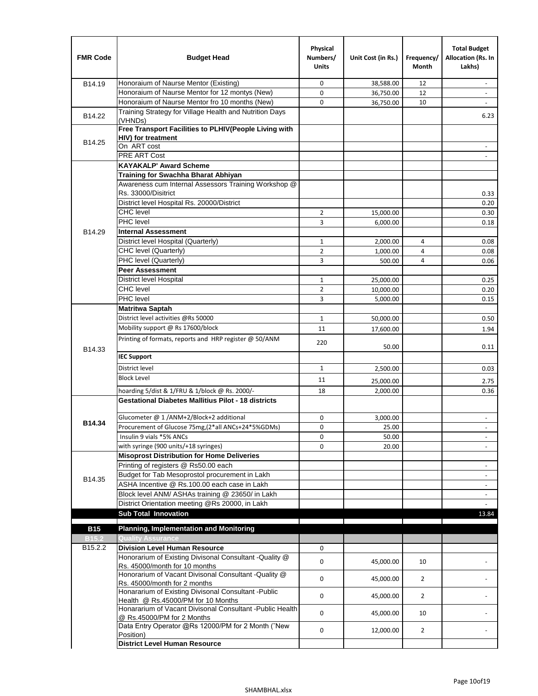| <b>FMR Code</b>     | <b>Budget Head</b>                                                                      | Physical<br>Numbers/<br><b>Units</b> | Unit Cost (in Rs.) | Frequency/<br>Month | <b>Total Budget</b><br>Allocation (Rs. In<br>Lakhs) |
|---------------------|-----------------------------------------------------------------------------------------|--------------------------------------|--------------------|---------------------|-----------------------------------------------------|
| B14.19              | Honoraium of Naurse Mentor (Existing)                                                   | 0                                    | 38,588.00          | 12                  |                                                     |
|                     | Honoraium of Naurse Mentor for 12 montys (New)                                          | 0                                    | 36,750.00          | 12                  | $\overline{a}$                                      |
|                     | Honoraium of Naurse Mentor fro 10 months (New)                                          | 0                                    | 36,750.00          | 10                  | $\blacksquare$                                      |
| B14.22              | Training Strategy for Village Health and Nutrition Days<br>(VHNDs)                      |                                      |                    |                     | 6.23                                                |
|                     | Free Transport Facilities to PLHIV(People Living with                                   |                                      |                    |                     |                                                     |
| B14.25              | HIV) for treatment                                                                      |                                      |                    |                     |                                                     |
|                     | On ART cost                                                                             |                                      |                    |                     |                                                     |
|                     | <b>PRE ART Cost</b>                                                                     |                                      |                    |                     | $\overline{a}$                                      |
|                     | <b>KAYAKALP' Award Scheme</b>                                                           |                                      |                    |                     |                                                     |
|                     | Training for Swachha Bharat Abhiyan                                                     |                                      |                    |                     |                                                     |
|                     | Awareness cum Internal Assessors Training Workshop @                                    |                                      |                    |                     |                                                     |
|                     | Rs. 33000/Disitrict                                                                     |                                      |                    |                     | 0.33                                                |
|                     | District level Hospital Rs. 20000/District                                              |                                      |                    |                     | 0.20                                                |
|                     | <b>CHC</b> level                                                                        | 2                                    | 15,000.00          |                     | 0.30                                                |
|                     | PHC level                                                                               | 3                                    | 6,000.00           |                     | 0.18                                                |
| B14.29              | <b>Internal Assessment</b>                                                              |                                      |                    |                     |                                                     |
|                     | District level Hospital (Quarterly)                                                     | $\mathbf 1$                          | 2,000.00           | 4                   | 0.08                                                |
|                     | CHC level (Quarterly)                                                                   | $\overline{2}$                       | 1,000.00           | $\overline{4}$      | 0.08                                                |
|                     | PHC level (Quarterly)                                                                   | 3                                    | 500.00             | 4                   | 0.06                                                |
|                     | <b>Peer Assessment</b>                                                                  |                                      |                    |                     |                                                     |
|                     | <b>District level Hospital</b>                                                          | 1                                    | 25,000.00          |                     | 0.25                                                |
|                     | <b>CHC</b> level                                                                        | $\overline{2}$                       | 10,000.00          |                     | 0.20                                                |
|                     | PHC level                                                                               | 3                                    | 5,000.00           |                     | 0.15                                                |
|                     | <b>Matritwa Saptah</b>                                                                  |                                      |                    |                     |                                                     |
|                     | District level activities @Rs 50000                                                     | $\mathbf{1}$                         | 50,000.00          |                     | 0.50                                                |
|                     | Mobility support @ Rs 17600/block                                                       | 11                                   | 17,600.00          |                     | 1.94                                                |
| B14.33              | Printing of formats, reports and HRP register @ 50/ANM                                  | 220                                  | 50.00              |                     | 0.11                                                |
|                     | <b>IEC Support</b>                                                                      |                                      |                    |                     |                                                     |
|                     | District level                                                                          | 1                                    | 2,500.00           |                     | 0.03                                                |
|                     | <b>Block Level</b>                                                                      | 11                                   | 25,000.00          |                     | 2.75                                                |
|                     | hoarding 5/dist & 1/FRU & 1/block @ Rs. 2000/-                                          | 18                                   | 2,000.00           |                     | 0.36                                                |
|                     | <b>Gestational Diabetes Mallitius Pilot - 18 districts</b>                              |                                      |                    |                     |                                                     |
|                     | Glucometer @ 1 /ANM+2/Block+2 additional                                                | 0                                    |                    |                     |                                                     |
| B14.34              | Procurement of Glucose 75mg, (2*all ANCs+24*5%GDMs)                                     | 0                                    | 3,000.00           |                     |                                                     |
|                     | Insulin 9 vials *5% ANCs                                                                |                                      | 25.00              |                     |                                                     |
|                     | with syringe (900 units/+18 syringes)                                                   | 0<br>0                               | 50.00              |                     | $\blacksquare$                                      |
|                     | <b>Misoprost Distribution for Home Deliveries</b>                                       |                                      | 20.00              |                     |                                                     |
|                     | Printing of registers @ Rs50.00 each                                                    |                                      |                    |                     |                                                     |
|                     | Budget for Tab Mesoprostol procurement in Lakh                                          |                                      |                    |                     | $\overline{\phantom{a}}$<br>$\blacksquare$          |
| B14.35              | ASHA Incentive @ Rs.100.00 each case in Lakh                                            |                                      |                    |                     | $\overline{\phantom{a}}$                            |
|                     | Block level ANM/ ASHAs training @ 23650/ in Lakh                                        |                                      |                    |                     |                                                     |
|                     | District Orientation meeting @Rs 20000, in Lakh                                         |                                      |                    |                     | $\omega$                                            |
|                     | <b>Sub Total Innovation</b>                                                             |                                      |                    |                     | 13.84                                               |
| <b>B15</b>          | <b>Planning, Implementation and Monitoring</b>                                          |                                      |                    |                     |                                                     |
| <b>B15.2</b>        | <b>Quality Assurance</b>                                                                |                                      |                    |                     |                                                     |
| B <sub>15.2.2</sub> | <b>Division Level Human Resource</b>                                                    | 0                                    |                    |                     |                                                     |
|                     | Honorarium of Existing Divisonal Consultant - Quality @                                 |                                      |                    |                     |                                                     |
|                     | Rs. 45000/month for 10 months                                                           | 0                                    | 45,000.00          | 10                  |                                                     |
|                     | Honorarium of Vacant Divisonal Consultant - Quality @                                   | 0                                    | 45,000.00          | $\overline{2}$      |                                                     |
|                     | Rs. 45000/month for 2 months                                                            |                                      |                    |                     |                                                     |
|                     | Honararium of Existing Divisonal Consultant - Public                                    | 0                                    | 45,000.00          | $\overline{2}$      |                                                     |
|                     | Health @ Rs.45000/PM for 10 Months                                                      |                                      |                    |                     |                                                     |
|                     | Honararium of Vacant Divisonal Consultant - Public Health<br>@ Rs.45000/PM for 2 Months | 0                                    | 45,000.00          | 10                  |                                                     |
|                     | Data Entry Operator @Rs 12000/PM for 2 Month ("New<br>Position)                         | 0                                    | 12,000.00          | $\overline{2}$      |                                                     |
|                     | <b>District Level Human Resource</b>                                                    |                                      |                    |                     |                                                     |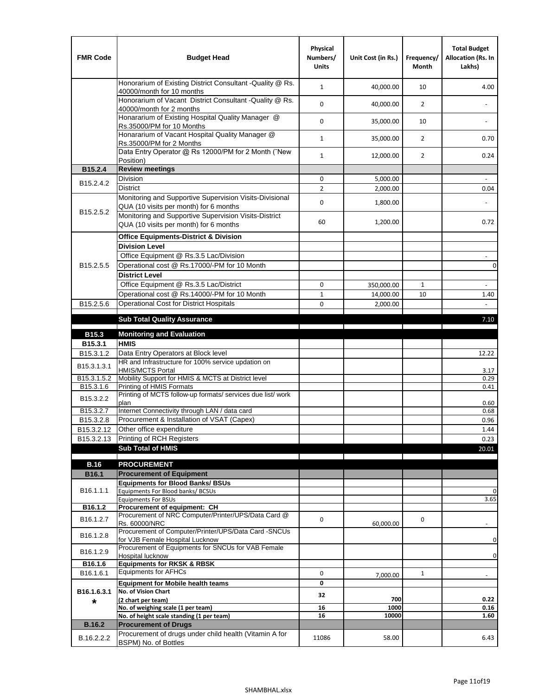| <b>FMR Code</b>         | <b>Budget Head</b>                                                                                | Physical<br>Numbers/<br><b>Units</b> | Unit Cost (in Rs.) | Frequency/<br><b>Month</b> | <b>Total Budget</b><br>Allocation (Rs. In<br>Lakhs) |
|-------------------------|---------------------------------------------------------------------------------------------------|--------------------------------------|--------------------|----------------------------|-----------------------------------------------------|
|                         | Honorarium of Existing District Consultant -Quality @ Rs.<br>40000/month for 10 months            | $\mathbf{1}$                         | 40,000.00          | 10                         | 4.00                                                |
|                         | Honorarium of Vacant District Consultant -Quality @ Rs.<br>40000/month for 2 months               | $\mathbf 0$                          | 40,000.00          | $\overline{2}$             | ÷,                                                  |
|                         | Honararium of Existing Hospital Quality Manager @<br>Rs.35000/PM for 10 Months                    | 0                                    | 35,000.00          | 10                         |                                                     |
|                         | Honararium of Vacant Hospital Quality Manager @<br>Rs.35000/PM for 2 Months                       | $\mathbf{1}$                         | 35,000.00          | $\overline{2}$             | 0.70                                                |
|                         | Data Entry Operator @ Rs 12000/PM for 2 Month ("New<br>Position)                                  | $\mathbf{1}$                         | 12,000.00          | $\overline{2}$             | 0.24                                                |
| B15.2.4                 | <b>Review meetings</b>                                                                            |                                      |                    |                            |                                                     |
| B <sub>15.2</sub> .4.2  | Division                                                                                          | 0                                    | 5,000.00           |                            |                                                     |
|                         | <b>District</b>                                                                                   | $\overline{2}$                       | 2,000.00           |                            | 0.04                                                |
|                         | Monitoring and Supportive Supervision Visits-Divisional<br>QUA (10 visits per month) for 6 months | $\mathbf 0$                          | 1,800.00           |                            |                                                     |
| B15.2.5.2               | Monitoring and Supportive Supervision Visits-District<br>QUA (10 visits per month) for 6 months   | 60                                   | 1,200.00           |                            | 0.72                                                |
|                         | <b>Office Equipments-District &amp; Division</b>                                                  |                                      |                    |                            |                                                     |
|                         | <b>Division Level</b>                                                                             |                                      |                    |                            |                                                     |
|                         | Office Equipment @ Rs.3.5 Lac/Division                                                            |                                      |                    |                            | $\sim$                                              |
| B15.2.5.5               | Operational cost @ Rs.17000/-PM for 10 Month                                                      |                                      |                    |                            | $\pmb{0}$                                           |
|                         | <b>District Level</b>                                                                             |                                      |                    |                            |                                                     |
|                         | Office Equipment @ Rs.3.5 Lac/District                                                            | 0                                    | 350,000.00         | 1                          | $\blacksquare$                                      |
|                         | Operational cost @ Rs.14000/-PM for 10 Month                                                      | $1\,$                                | 14,000.00          | 10                         | 1.40                                                |
| B15.2.5.6               | <b>Operational Cost for District Hospitals</b>                                                    | 0                                    | 2,000.00           |                            | $\mathbf{r}$                                        |
|                         | <b>Sub Total Quality Assurance</b>                                                                |                                      |                    |                            | 7.10                                                |
| B15.3                   | <b>Monitoring and Evaluation</b>                                                                  |                                      |                    |                            |                                                     |
| B15.3.1                 | <b>HMIS</b>                                                                                       |                                      |                    |                            |                                                     |
| B15.3.1.2               | Data Entry Operators at Block level                                                               |                                      |                    |                            | 12.22                                               |
| B15.3.1.3.1             | HR and Infrastructure for 100% service updation on<br><b>HMIS/MCTS Portal</b>                     |                                      |                    |                            | 3.17                                                |
| B <sub>15.3.1.5.2</sub> | Mobility Support for HMIS & MCTS at District level                                                |                                      |                    |                            | 0.29                                                |
| B15.3.1.6               | Printing of HMIS Formats<br>Printing of MCTS follow-up formats/ services due list/ work           |                                      |                    |                            | 0.41                                                |
| B15.3.2.2               | plan                                                                                              |                                      |                    |                            | 0.60                                                |
| B15.3.2.7               | Internet Connectivity through LAN / data card                                                     |                                      |                    |                            | 0.68                                                |
| B15.3.2.8               | Procurement & Installation of VSAT (Capex)                                                        |                                      |                    |                            | 0.96                                                |
| B15.3.2.12              | Other office expenditure                                                                          |                                      |                    |                            | 1.44                                                |
| B15.3.2.13              | Printing of RCH Registers                                                                         |                                      |                    |                            | 0.23                                                |
|                         | <b>Sub Total of HMIS</b>                                                                          |                                      |                    |                            | 20.01                                               |
| <b>B.16</b>             | <b>PROCUREMENT</b>                                                                                |                                      |                    |                            |                                                     |
| B16.1                   | <b>Procurement of Equipment</b>                                                                   |                                      |                    |                            |                                                     |
|                         | <b>Equipments for Blood Banks/ BSUs</b>                                                           |                                      |                    |                            |                                                     |
| B16.1.1.1               | Equipments For Blood banks/ BCSUs                                                                 |                                      |                    |                            | 0                                                   |
| B16.1.2                 | <b>Equipments For BSUs</b><br>Procurement of equipment: CH                                        |                                      |                    |                            | 3.65                                                |
|                         | Procurement of NRC Computer/Printer/UPS/Data Card @                                               |                                      |                    |                            |                                                     |
| B16.1.2.7               | Rs. 60000/NRC                                                                                     | 0                                    | 60,000.00          | 0                          |                                                     |
| B16.1.2.8               | Procurement of Computer/Printer/UPS/Data Card -SNCUs                                              |                                      |                    |                            |                                                     |
|                         | for VJB Female Hospital Lucknow<br>Procurement of Equipments for SNCUs for VAB Female             |                                      |                    |                            | 0                                                   |
| B16.1.2.9               | Hospital lucknow                                                                                  |                                      |                    |                            | 0                                                   |
| B16.1.6                 | <b>Equipments for RKSK &amp; RBSK</b>                                                             |                                      |                    |                            |                                                     |
| B16.1.6.1               | <b>Equipments for AFHCs</b>                                                                       | 0                                    | 7,000.00           | $\mathbf{1}$               |                                                     |
|                         | <b>Equipment for Mobile health teams</b>                                                          | 0                                    |                    |                            |                                                     |
| B16.1.6.3.1             | No. of Vision Chart                                                                               | 32                                   | 700                |                            | 0.22                                                |
| *                       | (2 chart per team)<br>No. of weighing scale (1 per team)                                          | 16                                   | 1000               |                            | 0.16                                                |
|                         | No. of height scale standing (1 per team)                                                         | 16                                   | 10000              |                            | 1.60                                                |
| <b>B.16.2</b>           | <b>Procurement of Drugs</b>                                                                       |                                      |                    |                            |                                                     |
| B.16.2.2.2              | Procurement of drugs under child health (Vitamin A for<br>BSPM) No. of Bottles                    | 11086                                | 58.00              |                            | 6.43                                                |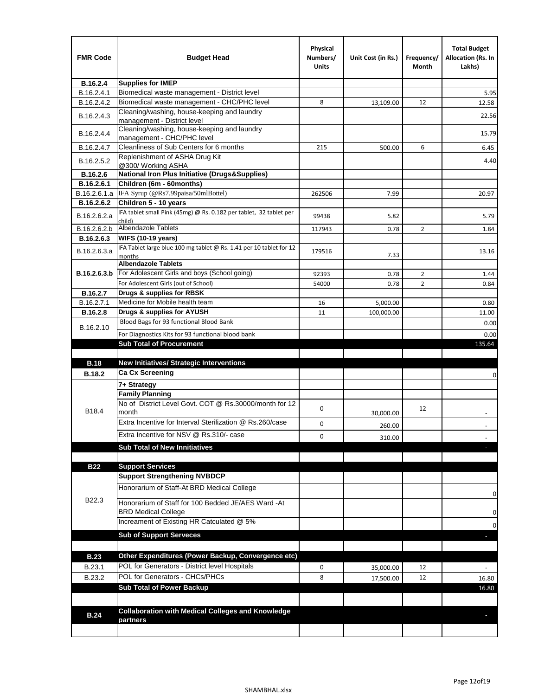| <b>FMR Code</b> | <b>Budget Head</b>                                                               | Physical<br>Numbers/<br><b>Units</b> | Unit Cost (in Rs.) | Frequency/<br>Month | <b>Total Budget</b><br><b>Allocation (Rs. In</b><br>Lakhs) |
|-----------------|----------------------------------------------------------------------------------|--------------------------------------|--------------------|---------------------|------------------------------------------------------------|
| B.16.2.4        | <b>Supplies for IMEP</b>                                                         |                                      |                    |                     |                                                            |
| B.16.2.4.1      | Biomedical waste management - District level                                     |                                      |                    |                     | 5.95                                                       |
| B.16.2.4.2      | Biomedical waste management - CHC/PHC level                                      | 8                                    | 13,109.00          | 12                  | 12.58                                                      |
| B.16.2.4.3      | Cleaning/washing, house-keeping and laundry<br>management - District level       |                                      |                    |                     | 22.56                                                      |
| B.16.2.4.4      | Cleaning/washing, house-keeping and laundry<br>management - CHC/PHC level        |                                      |                    |                     | 15.79                                                      |
| B.16.2.4.7      | Cleanliness of Sub Centers for 6 months                                          | 215                                  | 500.00             | 6                   | 6.45                                                       |
| B.16.2.5.2      | Replenishment of ASHA Drug Kit<br>@300/ Working ASHA                             |                                      |                    |                     | 4.40                                                       |
| B.16.2.6        | <b>National Iron Plus Initiative (Drugs&amp;Supplies)</b>                        |                                      |                    |                     |                                                            |
| B.16.2.6.1      | Children (6m - 60months)                                                         |                                      |                    |                     |                                                            |
| B.16.2.6.1.a    | IFA Syrup (@Rs7.99paisa/50mlBottel)                                              | 262506                               | 7.99               |                     | 20.97                                                      |
| B.16.2.6.2      | Children 5 - 10 years                                                            |                                      |                    |                     |                                                            |
| B.16.2.6.2.a    | IFA tablet small Pink (45mg) @ Rs. 0.182 per tablet, 32 tablet per<br>child)     | 99438                                | 5.82               |                     | 5.79                                                       |
| B.16.2.6.2.b    | <b>Albendazole Tablets</b>                                                       | 117943                               | 0.78               | 2                   | 1.84                                                       |
| B.16.2.6.3      | <b>WIFS (10-19 years)</b>                                                        |                                      |                    |                     |                                                            |
| B.16.2.6.3.a    | IFA Tablet large blue 100 mg tablet @ Rs. 1.41 per 10 tablet for 12<br>months    | 179516                               | 7.33               |                     | 13.16                                                      |
|                 | <b>Albendazole Tablets</b>                                                       |                                      |                    |                     |                                                            |
| B.16.2.6.3.b    | For Adolescent Girls and boys (School going)                                     | 92393                                | 0.78               | $\overline{2}$      | 1.44                                                       |
|                 | For Adolescent Girls (out of School)                                             | 54000                                | 0.78               | $\overline{2}$      | 0.84                                                       |
| B.16.2.7        | Drugs & supplies for RBSK                                                        |                                      |                    |                     |                                                            |
| B.16.2.7.1      | Medicine for Mobile health team                                                  | 16                                   | 5,000.00           |                     | 0.80                                                       |
| <b>B.16.2.8</b> | Drugs & supplies for AYUSH                                                       | 11                                   | 100,000.00         |                     | 11.00                                                      |
| B.16.2.10       | Blood Bags for 93 functional Blood Bank                                          |                                      |                    |                     | 0.00                                                       |
|                 | For Diagnostics Kits for 93 functional blood bank                                |                                      |                    |                     | 0.00                                                       |
|                 | <b>Sub Total of Procurement</b>                                                  |                                      |                    |                     | 135.64                                                     |
|                 |                                                                                  |                                      |                    |                     |                                                            |
| <b>B.18</b>     | <b>New Initiatives/ Strategic Interventions</b>                                  |                                      |                    |                     |                                                            |
| <b>B.18.2</b>   | <b>Ca Cx Screening</b>                                                           |                                      |                    |                     | 0                                                          |
|                 | 7+ Strategy                                                                      |                                      |                    |                     |                                                            |
|                 | <b>Family Planning</b><br>No of District Level Govt. COT @ Rs.30000/month for 12 | 0                                    |                    | 12                  |                                                            |
| B18.4           | month                                                                            |                                      | 30,000.00          |                     |                                                            |
|                 | Extra Incentive for Interval Sterilization @ Rs.260/case                         | 0                                    | 260.00             |                     |                                                            |
|                 | Extra Incentive for NSV @ Rs.310/- case                                          | 0                                    | 310.00             |                     |                                                            |
|                 | <b>Sub Total of New Innitiatives</b>                                             |                                      |                    |                     |                                                            |
|                 |                                                                                  |                                      |                    |                     |                                                            |
| <b>B22</b>      | <b>Support Services</b>                                                          |                                      |                    |                     |                                                            |
|                 | <b>Support Strengthening NVBDCP</b>                                              |                                      |                    |                     |                                                            |
|                 | Honorarium of Staff-At BRD Medical College                                       |                                      |                    |                     | 0                                                          |
| B22.3           | Honorarium of Staff for 100 Bedded JE/AES Ward -At<br><b>BRD Medical College</b> |                                      |                    |                     | 0                                                          |
|                 | Increament of Existing HR Catculated @ 5%                                        |                                      |                    |                     | 0                                                          |
|                 | <b>Sub of Support Serveces</b>                                                   |                                      |                    |                     |                                                            |
|                 |                                                                                  |                                      |                    |                     |                                                            |
| <b>B.23</b>     | Other Expenditures (Power Backup, Convergence etc)                               |                                      |                    |                     |                                                            |
| B.23.1          | POL for Generators - District level Hospitals                                    | 0                                    | 35,000.00          | 12                  |                                                            |
| B.23.2          | POL for Generators - CHCs/PHCs                                                   | 8                                    | 17,500.00          | 12                  | 16.80                                                      |
|                 | <b>Sub Total of Power Backup</b>                                                 |                                      |                    |                     | 16.80                                                      |
|                 |                                                                                  |                                      |                    |                     |                                                            |
| <b>B.24</b>     | <b>Collaboration with Medical Colleges and Knowledge</b>                         |                                      |                    |                     |                                                            |
|                 | partners                                                                         |                                      |                    |                     |                                                            |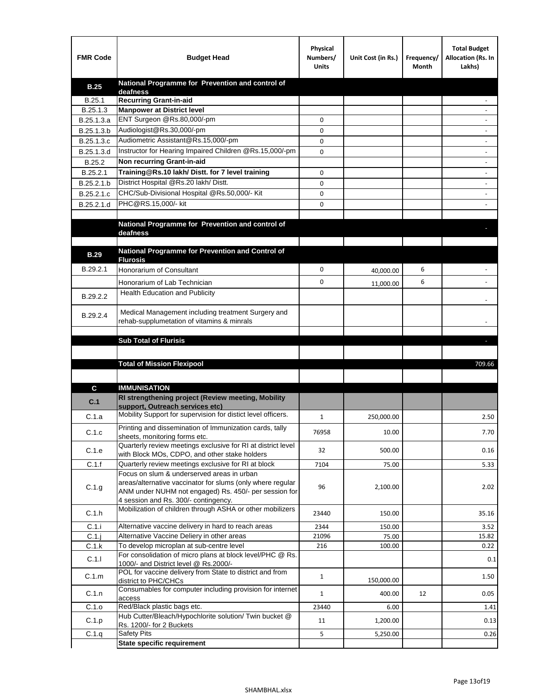| National Programme for Prevention and control of<br><b>B.25</b><br>deafness<br><b>Recurring Grant-in-aid</b><br>B.25.1<br>B.25.1.3<br><b>Manpower at District level</b><br>ENT Surgeon @Rs.80,000/-pm<br>B.25.1.3.a<br>0<br>Audiologist@Rs.30,000/-pm<br>B.25.1.3.b<br>0<br>Audiometric Assistant@Rs.15,000/-pm<br>B.25.1.3.c<br>0<br>Instructor for Hearing Impaired Children @Rs.15,000/-pm<br>B.25.1.3.d<br>0<br>Non recurring Grant-in-aid<br>B.25.2<br>Training@Rs.10 lakh/ Distt. for 7 level training<br>B.25.2.1<br>0<br>District Hospital @Rs.20 lakh/Distt.<br>B.25.2.1.b<br>0<br>CHC/Sub-Divisional Hospital @Rs.50,000/- Kit<br>B.25.2.1.c<br>0<br>PHC@RS.15,000/- kit<br>B.25.2.1.d<br>0<br>National Programme for Prevention and control of<br>deafness<br>National Programme for Prevention and Control of<br><b>B.29</b><br><b>Flurosis</b><br>B.29.2.1<br>0<br>6<br>Honorarium of Consultant<br>40,000.00<br>0<br>6<br>Honorarium of Lab Technician<br>11,000.00<br>Health Education and Publicity<br>B.29.2.2<br>Medical Management including treatment Surgery and<br>B.29.2.4<br>rehab-supplumetation of vitamins & minrals<br><b>Sub Total of Flurisis</b><br>ь<br><b>Total of Mission Flexipool</b><br>709.66<br><b>IMMUNISATION</b><br>C<br>RI strengthening project (Review meeting, Mobility<br>C.1<br>support, Outreach services etc)<br>Mobility Support for supervision for distict level officers.<br>C.1.a<br>1<br>250,000.00<br>2.50<br>Printing and dissemination of Immunization cards, tally<br>C.1.c<br>76958<br>10.00<br>7.70<br>sheets, monitoring forms etc.<br>Quarterly review meetings exclusive for RI at district level<br>C.1.e<br>500.00<br>0.16<br>32<br>with Block MOs, CDPO, and other stake holders<br>C.1.f<br>Quarterly review meetings exclusive for RI at block<br>7104<br>75.00<br>5.33<br>Focus on slum & underserved areas in urban<br>areas/alternative vaccinator for slums (only where regular<br>C.1.g<br>96<br>2,100.00<br>2.02<br>ANM under NUHM not engaged) Rs. 450/- per session for<br>4 session and Rs. 300/- contingency.<br>Mobilization of children through ASHA or other mobilizers<br>C.1.h<br>23440<br>35.16<br>150.00<br>C.1.i<br>Alternative vaccine delivery in hard to reach areas<br>2344<br>3.52<br>150.00<br>$C.1$ .j<br>Alternative Vaccine Deliery in other areas<br>21096<br>75.00<br>15.82<br>To develop microplan at sub-centre level<br>C.1.k<br>216<br>100.00<br>0.22<br>For consolidation of micro plans at block level/PHC @ Rs.<br>C.1.1<br>0.1<br>1000/- and District level @ Rs.2000/-<br>POL for vaccine delivery from State to district and from<br>C.1.m<br>$\mathbf{1}$<br>1.50<br>150,000.00<br>district to PHC/CHCs<br>Consumables for computer including provision for internet<br>C.1.n<br>0.05<br>$\mathbf{1}$<br>400.00<br>12<br>access<br>Red/Black plastic bags etc.<br>C.1.o<br>23440<br>1.41<br>6.00<br>Hub Cutter/Bleach/Hypochlorite solution/ Twin bucket @<br>C.1.p<br>11<br>1,200.00<br>0.13<br>Rs. 1200/- for 2 Buckets<br><b>Safety Pits</b><br>5<br>C.1.q<br>5,250.00<br>0.26 | <b>FMR Code</b> | <b>Budget Head</b>                | Physical<br>Numbers/<br><b>Units</b> | Unit Cost (in Rs.) | Frequency/<br>Month | <b>Total Budget</b><br>Allocation (Rs. In<br>Lakhs) |
|-------------------------------------------------------------------------------------------------------------------------------------------------------------------------------------------------------------------------------------------------------------------------------------------------------------------------------------------------------------------------------------------------------------------------------------------------------------------------------------------------------------------------------------------------------------------------------------------------------------------------------------------------------------------------------------------------------------------------------------------------------------------------------------------------------------------------------------------------------------------------------------------------------------------------------------------------------------------------------------------------------------------------------------------------------------------------------------------------------------------------------------------------------------------------------------------------------------------------------------------------------------------------------------------------------------------------------------------------------------------------------------------------------------------------------------------------------------------------------------------------------------------------------------------------------------------------------------------------------------------------------------------------------------------------------------------------------------------------------------------------------------------------------------------------------------------------------------------------------------------------------------------------------------------------------------------------------------------------------------------------------------------------------------------------------------------------------------------------------------------------------------------------------------------------------------------------------------------------------------------------------------------------------------------------------------------------------------------------------------------------------------------------------------------------------------------------------------------------------------------------------------------------------------------------------------------------------------------------------------------------------------------------------------------------------------------------------------------------------------------------------------------------------------------------------------------------------------------------------------------------------------------------------------------------------------------------------------------------------------------------------------------------------------------------------------------------------------------------|-----------------|-----------------------------------|--------------------------------------|--------------------|---------------------|-----------------------------------------------------|
|                                                                                                                                                                                                                                                                                                                                                                                                                                                                                                                                                                                                                                                                                                                                                                                                                                                                                                                                                                                                                                                                                                                                                                                                                                                                                                                                                                                                                                                                                                                                                                                                                                                                                                                                                                                                                                                                                                                                                                                                                                                                                                                                                                                                                                                                                                                                                                                                                                                                                                                                                                                                                                                                                                                                                                                                                                                                                                                                                                                                                                                                                                 |                 |                                   |                                      |                    |                     |                                                     |
|                                                                                                                                                                                                                                                                                                                                                                                                                                                                                                                                                                                                                                                                                                                                                                                                                                                                                                                                                                                                                                                                                                                                                                                                                                                                                                                                                                                                                                                                                                                                                                                                                                                                                                                                                                                                                                                                                                                                                                                                                                                                                                                                                                                                                                                                                                                                                                                                                                                                                                                                                                                                                                                                                                                                                                                                                                                                                                                                                                                                                                                                                                 |                 |                                   |                                      |                    |                     |                                                     |
|                                                                                                                                                                                                                                                                                                                                                                                                                                                                                                                                                                                                                                                                                                                                                                                                                                                                                                                                                                                                                                                                                                                                                                                                                                                                                                                                                                                                                                                                                                                                                                                                                                                                                                                                                                                                                                                                                                                                                                                                                                                                                                                                                                                                                                                                                                                                                                                                                                                                                                                                                                                                                                                                                                                                                                                                                                                                                                                                                                                                                                                                                                 |                 |                                   |                                      |                    |                     |                                                     |
|                                                                                                                                                                                                                                                                                                                                                                                                                                                                                                                                                                                                                                                                                                                                                                                                                                                                                                                                                                                                                                                                                                                                                                                                                                                                                                                                                                                                                                                                                                                                                                                                                                                                                                                                                                                                                                                                                                                                                                                                                                                                                                                                                                                                                                                                                                                                                                                                                                                                                                                                                                                                                                                                                                                                                                                                                                                                                                                                                                                                                                                                                                 |                 |                                   |                                      |                    |                     |                                                     |
|                                                                                                                                                                                                                                                                                                                                                                                                                                                                                                                                                                                                                                                                                                                                                                                                                                                                                                                                                                                                                                                                                                                                                                                                                                                                                                                                                                                                                                                                                                                                                                                                                                                                                                                                                                                                                                                                                                                                                                                                                                                                                                                                                                                                                                                                                                                                                                                                                                                                                                                                                                                                                                                                                                                                                                                                                                                                                                                                                                                                                                                                                                 |                 |                                   |                                      |                    |                     |                                                     |
|                                                                                                                                                                                                                                                                                                                                                                                                                                                                                                                                                                                                                                                                                                                                                                                                                                                                                                                                                                                                                                                                                                                                                                                                                                                                                                                                                                                                                                                                                                                                                                                                                                                                                                                                                                                                                                                                                                                                                                                                                                                                                                                                                                                                                                                                                                                                                                                                                                                                                                                                                                                                                                                                                                                                                                                                                                                                                                                                                                                                                                                                                                 |                 |                                   |                                      |                    |                     |                                                     |
|                                                                                                                                                                                                                                                                                                                                                                                                                                                                                                                                                                                                                                                                                                                                                                                                                                                                                                                                                                                                                                                                                                                                                                                                                                                                                                                                                                                                                                                                                                                                                                                                                                                                                                                                                                                                                                                                                                                                                                                                                                                                                                                                                                                                                                                                                                                                                                                                                                                                                                                                                                                                                                                                                                                                                                                                                                                                                                                                                                                                                                                                                                 |                 |                                   |                                      |                    |                     |                                                     |
|                                                                                                                                                                                                                                                                                                                                                                                                                                                                                                                                                                                                                                                                                                                                                                                                                                                                                                                                                                                                                                                                                                                                                                                                                                                                                                                                                                                                                                                                                                                                                                                                                                                                                                                                                                                                                                                                                                                                                                                                                                                                                                                                                                                                                                                                                                                                                                                                                                                                                                                                                                                                                                                                                                                                                                                                                                                                                                                                                                                                                                                                                                 |                 |                                   |                                      |                    |                     |                                                     |
|                                                                                                                                                                                                                                                                                                                                                                                                                                                                                                                                                                                                                                                                                                                                                                                                                                                                                                                                                                                                                                                                                                                                                                                                                                                                                                                                                                                                                                                                                                                                                                                                                                                                                                                                                                                                                                                                                                                                                                                                                                                                                                                                                                                                                                                                                                                                                                                                                                                                                                                                                                                                                                                                                                                                                                                                                                                                                                                                                                                                                                                                                                 |                 |                                   |                                      |                    |                     |                                                     |
|                                                                                                                                                                                                                                                                                                                                                                                                                                                                                                                                                                                                                                                                                                                                                                                                                                                                                                                                                                                                                                                                                                                                                                                                                                                                                                                                                                                                                                                                                                                                                                                                                                                                                                                                                                                                                                                                                                                                                                                                                                                                                                                                                                                                                                                                                                                                                                                                                                                                                                                                                                                                                                                                                                                                                                                                                                                                                                                                                                                                                                                                                                 |                 |                                   |                                      |                    |                     |                                                     |
|                                                                                                                                                                                                                                                                                                                                                                                                                                                                                                                                                                                                                                                                                                                                                                                                                                                                                                                                                                                                                                                                                                                                                                                                                                                                                                                                                                                                                                                                                                                                                                                                                                                                                                                                                                                                                                                                                                                                                                                                                                                                                                                                                                                                                                                                                                                                                                                                                                                                                                                                                                                                                                                                                                                                                                                                                                                                                                                                                                                                                                                                                                 |                 |                                   |                                      |                    |                     |                                                     |
|                                                                                                                                                                                                                                                                                                                                                                                                                                                                                                                                                                                                                                                                                                                                                                                                                                                                                                                                                                                                                                                                                                                                                                                                                                                                                                                                                                                                                                                                                                                                                                                                                                                                                                                                                                                                                                                                                                                                                                                                                                                                                                                                                                                                                                                                                                                                                                                                                                                                                                                                                                                                                                                                                                                                                                                                                                                                                                                                                                                                                                                                                                 |                 |                                   |                                      |                    |                     |                                                     |
|                                                                                                                                                                                                                                                                                                                                                                                                                                                                                                                                                                                                                                                                                                                                                                                                                                                                                                                                                                                                                                                                                                                                                                                                                                                                                                                                                                                                                                                                                                                                                                                                                                                                                                                                                                                                                                                                                                                                                                                                                                                                                                                                                                                                                                                                                                                                                                                                                                                                                                                                                                                                                                                                                                                                                                                                                                                                                                                                                                                                                                                                                                 |                 |                                   |                                      |                    |                     |                                                     |
|                                                                                                                                                                                                                                                                                                                                                                                                                                                                                                                                                                                                                                                                                                                                                                                                                                                                                                                                                                                                                                                                                                                                                                                                                                                                                                                                                                                                                                                                                                                                                                                                                                                                                                                                                                                                                                                                                                                                                                                                                                                                                                                                                                                                                                                                                                                                                                                                                                                                                                                                                                                                                                                                                                                                                                                                                                                                                                                                                                                                                                                                                                 |                 |                                   |                                      |                    |                     |                                                     |
|                                                                                                                                                                                                                                                                                                                                                                                                                                                                                                                                                                                                                                                                                                                                                                                                                                                                                                                                                                                                                                                                                                                                                                                                                                                                                                                                                                                                                                                                                                                                                                                                                                                                                                                                                                                                                                                                                                                                                                                                                                                                                                                                                                                                                                                                                                                                                                                                                                                                                                                                                                                                                                                                                                                                                                                                                                                                                                                                                                                                                                                                                                 |                 |                                   |                                      |                    |                     |                                                     |
|                                                                                                                                                                                                                                                                                                                                                                                                                                                                                                                                                                                                                                                                                                                                                                                                                                                                                                                                                                                                                                                                                                                                                                                                                                                                                                                                                                                                                                                                                                                                                                                                                                                                                                                                                                                                                                                                                                                                                                                                                                                                                                                                                                                                                                                                                                                                                                                                                                                                                                                                                                                                                                                                                                                                                                                                                                                                                                                                                                                                                                                                                                 |                 |                                   |                                      |                    |                     |                                                     |
|                                                                                                                                                                                                                                                                                                                                                                                                                                                                                                                                                                                                                                                                                                                                                                                                                                                                                                                                                                                                                                                                                                                                                                                                                                                                                                                                                                                                                                                                                                                                                                                                                                                                                                                                                                                                                                                                                                                                                                                                                                                                                                                                                                                                                                                                                                                                                                                                                                                                                                                                                                                                                                                                                                                                                                                                                                                                                                                                                                                                                                                                                                 |                 |                                   |                                      |                    |                     |                                                     |
|                                                                                                                                                                                                                                                                                                                                                                                                                                                                                                                                                                                                                                                                                                                                                                                                                                                                                                                                                                                                                                                                                                                                                                                                                                                                                                                                                                                                                                                                                                                                                                                                                                                                                                                                                                                                                                                                                                                                                                                                                                                                                                                                                                                                                                                                                                                                                                                                                                                                                                                                                                                                                                                                                                                                                                                                                                                                                                                                                                                                                                                                                                 |                 |                                   |                                      |                    |                     |                                                     |
|                                                                                                                                                                                                                                                                                                                                                                                                                                                                                                                                                                                                                                                                                                                                                                                                                                                                                                                                                                                                                                                                                                                                                                                                                                                                                                                                                                                                                                                                                                                                                                                                                                                                                                                                                                                                                                                                                                                                                                                                                                                                                                                                                                                                                                                                                                                                                                                                                                                                                                                                                                                                                                                                                                                                                                                                                                                                                                                                                                                                                                                                                                 |                 |                                   |                                      |                    |                     |                                                     |
|                                                                                                                                                                                                                                                                                                                                                                                                                                                                                                                                                                                                                                                                                                                                                                                                                                                                                                                                                                                                                                                                                                                                                                                                                                                                                                                                                                                                                                                                                                                                                                                                                                                                                                                                                                                                                                                                                                                                                                                                                                                                                                                                                                                                                                                                                                                                                                                                                                                                                                                                                                                                                                                                                                                                                                                                                                                                                                                                                                                                                                                                                                 |                 |                                   |                                      |                    |                     |                                                     |
|                                                                                                                                                                                                                                                                                                                                                                                                                                                                                                                                                                                                                                                                                                                                                                                                                                                                                                                                                                                                                                                                                                                                                                                                                                                                                                                                                                                                                                                                                                                                                                                                                                                                                                                                                                                                                                                                                                                                                                                                                                                                                                                                                                                                                                                                                                                                                                                                                                                                                                                                                                                                                                                                                                                                                                                                                                                                                                                                                                                                                                                                                                 |                 |                                   |                                      |                    |                     |                                                     |
|                                                                                                                                                                                                                                                                                                                                                                                                                                                                                                                                                                                                                                                                                                                                                                                                                                                                                                                                                                                                                                                                                                                                                                                                                                                                                                                                                                                                                                                                                                                                                                                                                                                                                                                                                                                                                                                                                                                                                                                                                                                                                                                                                                                                                                                                                                                                                                                                                                                                                                                                                                                                                                                                                                                                                                                                                                                                                                                                                                                                                                                                                                 |                 |                                   |                                      |                    |                     |                                                     |
|                                                                                                                                                                                                                                                                                                                                                                                                                                                                                                                                                                                                                                                                                                                                                                                                                                                                                                                                                                                                                                                                                                                                                                                                                                                                                                                                                                                                                                                                                                                                                                                                                                                                                                                                                                                                                                                                                                                                                                                                                                                                                                                                                                                                                                                                                                                                                                                                                                                                                                                                                                                                                                                                                                                                                                                                                                                                                                                                                                                                                                                                                                 |                 |                                   |                                      |                    |                     |                                                     |
|                                                                                                                                                                                                                                                                                                                                                                                                                                                                                                                                                                                                                                                                                                                                                                                                                                                                                                                                                                                                                                                                                                                                                                                                                                                                                                                                                                                                                                                                                                                                                                                                                                                                                                                                                                                                                                                                                                                                                                                                                                                                                                                                                                                                                                                                                                                                                                                                                                                                                                                                                                                                                                                                                                                                                                                                                                                                                                                                                                                                                                                                                                 |                 |                                   |                                      |                    |                     |                                                     |
|                                                                                                                                                                                                                                                                                                                                                                                                                                                                                                                                                                                                                                                                                                                                                                                                                                                                                                                                                                                                                                                                                                                                                                                                                                                                                                                                                                                                                                                                                                                                                                                                                                                                                                                                                                                                                                                                                                                                                                                                                                                                                                                                                                                                                                                                                                                                                                                                                                                                                                                                                                                                                                                                                                                                                                                                                                                                                                                                                                                                                                                                                                 |                 |                                   |                                      |                    |                     |                                                     |
|                                                                                                                                                                                                                                                                                                                                                                                                                                                                                                                                                                                                                                                                                                                                                                                                                                                                                                                                                                                                                                                                                                                                                                                                                                                                                                                                                                                                                                                                                                                                                                                                                                                                                                                                                                                                                                                                                                                                                                                                                                                                                                                                                                                                                                                                                                                                                                                                                                                                                                                                                                                                                                                                                                                                                                                                                                                                                                                                                                                                                                                                                                 |                 |                                   |                                      |                    |                     |                                                     |
|                                                                                                                                                                                                                                                                                                                                                                                                                                                                                                                                                                                                                                                                                                                                                                                                                                                                                                                                                                                                                                                                                                                                                                                                                                                                                                                                                                                                                                                                                                                                                                                                                                                                                                                                                                                                                                                                                                                                                                                                                                                                                                                                                                                                                                                                                                                                                                                                                                                                                                                                                                                                                                                                                                                                                                                                                                                                                                                                                                                                                                                                                                 |                 |                                   |                                      |                    |                     |                                                     |
|                                                                                                                                                                                                                                                                                                                                                                                                                                                                                                                                                                                                                                                                                                                                                                                                                                                                                                                                                                                                                                                                                                                                                                                                                                                                                                                                                                                                                                                                                                                                                                                                                                                                                                                                                                                                                                                                                                                                                                                                                                                                                                                                                                                                                                                                                                                                                                                                                                                                                                                                                                                                                                                                                                                                                                                                                                                                                                                                                                                                                                                                                                 |                 |                                   |                                      |                    |                     |                                                     |
|                                                                                                                                                                                                                                                                                                                                                                                                                                                                                                                                                                                                                                                                                                                                                                                                                                                                                                                                                                                                                                                                                                                                                                                                                                                                                                                                                                                                                                                                                                                                                                                                                                                                                                                                                                                                                                                                                                                                                                                                                                                                                                                                                                                                                                                                                                                                                                                                                                                                                                                                                                                                                                                                                                                                                                                                                                                                                                                                                                                                                                                                                                 |                 |                                   |                                      |                    |                     |                                                     |
|                                                                                                                                                                                                                                                                                                                                                                                                                                                                                                                                                                                                                                                                                                                                                                                                                                                                                                                                                                                                                                                                                                                                                                                                                                                                                                                                                                                                                                                                                                                                                                                                                                                                                                                                                                                                                                                                                                                                                                                                                                                                                                                                                                                                                                                                                                                                                                                                                                                                                                                                                                                                                                                                                                                                                                                                                                                                                                                                                                                                                                                                                                 |                 |                                   |                                      |                    |                     |                                                     |
|                                                                                                                                                                                                                                                                                                                                                                                                                                                                                                                                                                                                                                                                                                                                                                                                                                                                                                                                                                                                                                                                                                                                                                                                                                                                                                                                                                                                                                                                                                                                                                                                                                                                                                                                                                                                                                                                                                                                                                                                                                                                                                                                                                                                                                                                                                                                                                                                                                                                                                                                                                                                                                                                                                                                                                                                                                                                                                                                                                                                                                                                                                 |                 |                                   |                                      |                    |                     |                                                     |
|                                                                                                                                                                                                                                                                                                                                                                                                                                                                                                                                                                                                                                                                                                                                                                                                                                                                                                                                                                                                                                                                                                                                                                                                                                                                                                                                                                                                                                                                                                                                                                                                                                                                                                                                                                                                                                                                                                                                                                                                                                                                                                                                                                                                                                                                                                                                                                                                                                                                                                                                                                                                                                                                                                                                                                                                                                                                                                                                                                                                                                                                                                 |                 |                                   |                                      |                    |                     |                                                     |
|                                                                                                                                                                                                                                                                                                                                                                                                                                                                                                                                                                                                                                                                                                                                                                                                                                                                                                                                                                                                                                                                                                                                                                                                                                                                                                                                                                                                                                                                                                                                                                                                                                                                                                                                                                                                                                                                                                                                                                                                                                                                                                                                                                                                                                                                                                                                                                                                                                                                                                                                                                                                                                                                                                                                                                                                                                                                                                                                                                                                                                                                                                 |                 |                                   |                                      |                    |                     |                                                     |
|                                                                                                                                                                                                                                                                                                                                                                                                                                                                                                                                                                                                                                                                                                                                                                                                                                                                                                                                                                                                                                                                                                                                                                                                                                                                                                                                                                                                                                                                                                                                                                                                                                                                                                                                                                                                                                                                                                                                                                                                                                                                                                                                                                                                                                                                                                                                                                                                                                                                                                                                                                                                                                                                                                                                                                                                                                                                                                                                                                                                                                                                                                 |                 |                                   |                                      |                    |                     |                                                     |
|                                                                                                                                                                                                                                                                                                                                                                                                                                                                                                                                                                                                                                                                                                                                                                                                                                                                                                                                                                                                                                                                                                                                                                                                                                                                                                                                                                                                                                                                                                                                                                                                                                                                                                                                                                                                                                                                                                                                                                                                                                                                                                                                                                                                                                                                                                                                                                                                                                                                                                                                                                                                                                                                                                                                                                                                                                                                                                                                                                                                                                                                                                 |                 |                                   |                                      |                    |                     |                                                     |
|                                                                                                                                                                                                                                                                                                                                                                                                                                                                                                                                                                                                                                                                                                                                                                                                                                                                                                                                                                                                                                                                                                                                                                                                                                                                                                                                                                                                                                                                                                                                                                                                                                                                                                                                                                                                                                                                                                                                                                                                                                                                                                                                                                                                                                                                                                                                                                                                                                                                                                                                                                                                                                                                                                                                                                                                                                                                                                                                                                                                                                                                                                 |                 |                                   |                                      |                    |                     |                                                     |
|                                                                                                                                                                                                                                                                                                                                                                                                                                                                                                                                                                                                                                                                                                                                                                                                                                                                                                                                                                                                                                                                                                                                                                                                                                                                                                                                                                                                                                                                                                                                                                                                                                                                                                                                                                                                                                                                                                                                                                                                                                                                                                                                                                                                                                                                                                                                                                                                                                                                                                                                                                                                                                                                                                                                                                                                                                                                                                                                                                                                                                                                                                 |                 |                                   |                                      |                    |                     |                                                     |
|                                                                                                                                                                                                                                                                                                                                                                                                                                                                                                                                                                                                                                                                                                                                                                                                                                                                                                                                                                                                                                                                                                                                                                                                                                                                                                                                                                                                                                                                                                                                                                                                                                                                                                                                                                                                                                                                                                                                                                                                                                                                                                                                                                                                                                                                                                                                                                                                                                                                                                                                                                                                                                                                                                                                                                                                                                                                                                                                                                                                                                                                                                 |                 |                                   |                                      |                    |                     |                                                     |
|                                                                                                                                                                                                                                                                                                                                                                                                                                                                                                                                                                                                                                                                                                                                                                                                                                                                                                                                                                                                                                                                                                                                                                                                                                                                                                                                                                                                                                                                                                                                                                                                                                                                                                                                                                                                                                                                                                                                                                                                                                                                                                                                                                                                                                                                                                                                                                                                                                                                                                                                                                                                                                                                                                                                                                                                                                                                                                                                                                                                                                                                                                 |                 |                                   |                                      |                    |                     |                                                     |
|                                                                                                                                                                                                                                                                                                                                                                                                                                                                                                                                                                                                                                                                                                                                                                                                                                                                                                                                                                                                                                                                                                                                                                                                                                                                                                                                                                                                                                                                                                                                                                                                                                                                                                                                                                                                                                                                                                                                                                                                                                                                                                                                                                                                                                                                                                                                                                                                                                                                                                                                                                                                                                                                                                                                                                                                                                                                                                                                                                                                                                                                                                 |                 |                                   |                                      |                    |                     |                                                     |
|                                                                                                                                                                                                                                                                                                                                                                                                                                                                                                                                                                                                                                                                                                                                                                                                                                                                                                                                                                                                                                                                                                                                                                                                                                                                                                                                                                                                                                                                                                                                                                                                                                                                                                                                                                                                                                                                                                                                                                                                                                                                                                                                                                                                                                                                                                                                                                                                                                                                                                                                                                                                                                                                                                                                                                                                                                                                                                                                                                                                                                                                                                 |                 |                                   |                                      |                    |                     |                                                     |
|                                                                                                                                                                                                                                                                                                                                                                                                                                                                                                                                                                                                                                                                                                                                                                                                                                                                                                                                                                                                                                                                                                                                                                                                                                                                                                                                                                                                                                                                                                                                                                                                                                                                                                                                                                                                                                                                                                                                                                                                                                                                                                                                                                                                                                                                                                                                                                                                                                                                                                                                                                                                                                                                                                                                                                                                                                                                                                                                                                                                                                                                                                 |                 |                                   |                                      |                    |                     |                                                     |
|                                                                                                                                                                                                                                                                                                                                                                                                                                                                                                                                                                                                                                                                                                                                                                                                                                                                                                                                                                                                                                                                                                                                                                                                                                                                                                                                                                                                                                                                                                                                                                                                                                                                                                                                                                                                                                                                                                                                                                                                                                                                                                                                                                                                                                                                                                                                                                                                                                                                                                                                                                                                                                                                                                                                                                                                                                                                                                                                                                                                                                                                                                 |                 |                                   |                                      |                    |                     |                                                     |
|                                                                                                                                                                                                                                                                                                                                                                                                                                                                                                                                                                                                                                                                                                                                                                                                                                                                                                                                                                                                                                                                                                                                                                                                                                                                                                                                                                                                                                                                                                                                                                                                                                                                                                                                                                                                                                                                                                                                                                                                                                                                                                                                                                                                                                                                                                                                                                                                                                                                                                                                                                                                                                                                                                                                                                                                                                                                                                                                                                                                                                                                                                 |                 |                                   |                                      |                    |                     |                                                     |
|                                                                                                                                                                                                                                                                                                                                                                                                                                                                                                                                                                                                                                                                                                                                                                                                                                                                                                                                                                                                                                                                                                                                                                                                                                                                                                                                                                                                                                                                                                                                                                                                                                                                                                                                                                                                                                                                                                                                                                                                                                                                                                                                                                                                                                                                                                                                                                                                                                                                                                                                                                                                                                                                                                                                                                                                                                                                                                                                                                                                                                                                                                 |                 |                                   |                                      |                    |                     |                                                     |
|                                                                                                                                                                                                                                                                                                                                                                                                                                                                                                                                                                                                                                                                                                                                                                                                                                                                                                                                                                                                                                                                                                                                                                                                                                                                                                                                                                                                                                                                                                                                                                                                                                                                                                                                                                                                                                                                                                                                                                                                                                                                                                                                                                                                                                                                                                                                                                                                                                                                                                                                                                                                                                                                                                                                                                                                                                                                                                                                                                                                                                                                                                 |                 |                                   |                                      |                    |                     |                                                     |
|                                                                                                                                                                                                                                                                                                                                                                                                                                                                                                                                                                                                                                                                                                                                                                                                                                                                                                                                                                                                                                                                                                                                                                                                                                                                                                                                                                                                                                                                                                                                                                                                                                                                                                                                                                                                                                                                                                                                                                                                                                                                                                                                                                                                                                                                                                                                                                                                                                                                                                                                                                                                                                                                                                                                                                                                                                                                                                                                                                                                                                                                                                 |                 |                                   |                                      |                    |                     |                                                     |
|                                                                                                                                                                                                                                                                                                                                                                                                                                                                                                                                                                                                                                                                                                                                                                                                                                                                                                                                                                                                                                                                                                                                                                                                                                                                                                                                                                                                                                                                                                                                                                                                                                                                                                                                                                                                                                                                                                                                                                                                                                                                                                                                                                                                                                                                                                                                                                                                                                                                                                                                                                                                                                                                                                                                                                                                                                                                                                                                                                                                                                                                                                 |                 |                                   |                                      |                    |                     |                                                     |
|                                                                                                                                                                                                                                                                                                                                                                                                                                                                                                                                                                                                                                                                                                                                                                                                                                                                                                                                                                                                                                                                                                                                                                                                                                                                                                                                                                                                                                                                                                                                                                                                                                                                                                                                                                                                                                                                                                                                                                                                                                                                                                                                                                                                                                                                                                                                                                                                                                                                                                                                                                                                                                                                                                                                                                                                                                                                                                                                                                                                                                                                                                 |                 |                                   |                                      |                    |                     |                                                     |
|                                                                                                                                                                                                                                                                                                                                                                                                                                                                                                                                                                                                                                                                                                                                                                                                                                                                                                                                                                                                                                                                                                                                                                                                                                                                                                                                                                                                                                                                                                                                                                                                                                                                                                                                                                                                                                                                                                                                                                                                                                                                                                                                                                                                                                                                                                                                                                                                                                                                                                                                                                                                                                                                                                                                                                                                                                                                                                                                                                                                                                                                                                 |                 | <b>State specific requirement</b> |                                      |                    |                     |                                                     |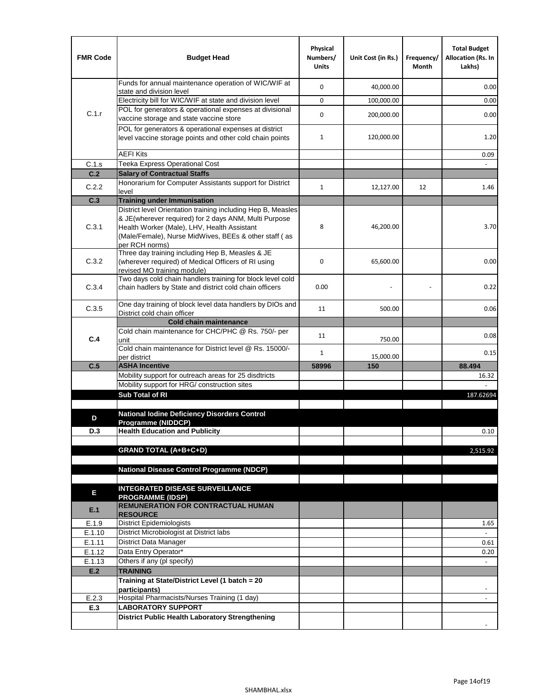| <b>FMR Code</b> | <b>Budget Head</b>                                                                                                                                                              | Physical<br>Numbers/<br><b>Units</b> | Unit Cost (in Rs.) | Frequency/<br>Month | <b>Total Budget</b><br><b>Allocation (Rs. In</b><br>Lakhs) |
|-----------------|---------------------------------------------------------------------------------------------------------------------------------------------------------------------------------|--------------------------------------|--------------------|---------------------|------------------------------------------------------------|
|                 | Funds for annual maintenance operation of WIC/WIF at<br>state and division level                                                                                                | $\mathbf 0$                          | 40,000.00          |                     | 0.00                                                       |
|                 | Electricity bill for WIC/WIF at state and division level                                                                                                                        | $\mathbf 0$                          | 100,000.00         |                     | 0.00                                                       |
| C.1.r           | POL for generators & operational expenses at divisional                                                                                                                         | $\mathbf 0$                          |                    |                     |                                                            |
|                 | vaccine storage and state vaccine store                                                                                                                                         |                                      | 200,000.00         |                     | 0.00                                                       |
|                 | POL for generators & operational expenses at district<br>level vaccine storage points and other cold chain points                                                               | $\mathbf{1}$                         | 120,000.00         |                     | 1.20                                                       |
|                 | <b>AEFI Kits</b>                                                                                                                                                                |                                      |                    |                     | 0.09                                                       |
| C.1.s           | Teeka Express Operational Cost                                                                                                                                                  |                                      |                    |                     |                                                            |
| C.2             | <b>Salary of Contractual Staffs</b>                                                                                                                                             |                                      |                    |                     |                                                            |
| C.2.2           | Honorarium for Computer Assistants support for District<br>level                                                                                                                | $\mathbf{1}$                         | 12,127.00          | 12                  | 1.46                                                       |
| C.3             | <b>Training under Immunisation</b>                                                                                                                                              |                                      |                    |                     |                                                            |
|                 | District level Orientation training including Hep B, Measles                                                                                                                    |                                      |                    |                     |                                                            |
| C.3.1           | & JE(wherever required) for 2 days ANM, Multi Purpose<br>Health Worker (Male), LHV, Health Assistant<br>(Male/Female), Nurse MidWives, BEEs & other staff (as<br>per RCH norms) | 8                                    | 46,200.00          |                     | 3.70                                                       |
| C.3.2           | Three day training including Hep B, Measles & JE<br>(wherever required) of Medical Officers of RI using<br>revised MO training module)                                          | $\mathbf 0$                          | 65,600.00          |                     | 0.00                                                       |
| C.3.4           | Two days cold chain handlers training for block level cold<br>chain hadlers by State and district cold chain officers                                                           | 0.00                                 |                    |                     | 0.22                                                       |
| C.3.5           | One day training of block level data handlers by DIOs and<br>District cold chain officer                                                                                        | 11                                   | 500.00             |                     | 0.06                                                       |
|                 | <b>Cold chain maintenance</b>                                                                                                                                                   |                                      |                    |                     |                                                            |
| C.4             | Cold chain maintenance for CHC/PHC @ Rs. 750/- per<br>unit                                                                                                                      | 11                                   | 750.00             |                     | 0.08                                                       |
|                 | Cold chain maintenance for District level @ Rs. 15000/-<br>per district                                                                                                         | $\mathbf{1}$                         | 15,000.00          |                     | 0.15                                                       |
| C.5             | <b>ASHA Incentive</b>                                                                                                                                                           | 58996                                | 150                |                     | 88.494                                                     |
|                 | Mobility support for outreach areas for 25 disdtricts                                                                                                                           |                                      |                    |                     | 16.32                                                      |
|                 | Mobility support for HRG/ construction sites                                                                                                                                    |                                      |                    |                     |                                                            |
|                 | Sub Total of RI                                                                                                                                                                 |                                      |                    |                     | 187.62694                                                  |
|                 |                                                                                                                                                                                 |                                      |                    |                     |                                                            |
| D               | <b>National Iodine Deficiency Disorders Control</b><br>Programme (NIDDCP)                                                                                                       |                                      |                    |                     |                                                            |
| D.3             | <b>Health Education and Publicity</b>                                                                                                                                           |                                      |                    |                     | 0.10                                                       |
|                 |                                                                                                                                                                                 |                                      |                    |                     |                                                            |
|                 | <b>GRAND TOTAL (A+B+C+D)</b>                                                                                                                                                    |                                      |                    |                     | 2,515.92                                                   |
|                 |                                                                                                                                                                                 |                                      |                    |                     |                                                            |
|                 | <b>National Disease Control Programme (NDCP)</b>                                                                                                                                |                                      |                    |                     |                                                            |
|                 |                                                                                                                                                                                 |                                      |                    |                     |                                                            |
| Е               | <b>INTEGRATED DISEASE SURVEILLANCE</b><br><b>PROGRAMME (IDSP)</b>                                                                                                               |                                      |                    |                     |                                                            |
| E.1             | REMUNERATION FOR CONTRACTUAL HUMAN<br><b>RESOURCE</b>                                                                                                                           |                                      |                    |                     |                                                            |
| E.1.9           | District Epidemiologists                                                                                                                                                        |                                      |                    |                     | 1.65                                                       |
| E.1.10          | District Microbiologist at District labs                                                                                                                                        |                                      |                    |                     |                                                            |
| E.1.11          | District Data Manager                                                                                                                                                           |                                      |                    |                     | 0.61                                                       |
| E.1.12          | Data Entry Operator*                                                                                                                                                            |                                      |                    |                     | 0.20                                                       |
| E.1.13<br>E.2   | Others if any (pl specify)<br><b>TRAINING</b>                                                                                                                                   |                                      |                    |                     | $\omega$                                                   |
|                 | Training at State/District Level (1 batch = 20                                                                                                                                  |                                      |                    |                     |                                                            |
|                 | participants)                                                                                                                                                                   |                                      |                    |                     |                                                            |
| E.2.3           | Hospital Pharmacists/Nurses Training (1 day)                                                                                                                                    |                                      |                    |                     |                                                            |
| E.3             | <b>LABORATORY SUPPORT</b>                                                                                                                                                       |                                      |                    |                     |                                                            |
|                 | <b>District Public Health Laboratory Strengthening</b>                                                                                                                          |                                      |                    |                     |                                                            |
|                 |                                                                                                                                                                                 |                                      |                    |                     |                                                            |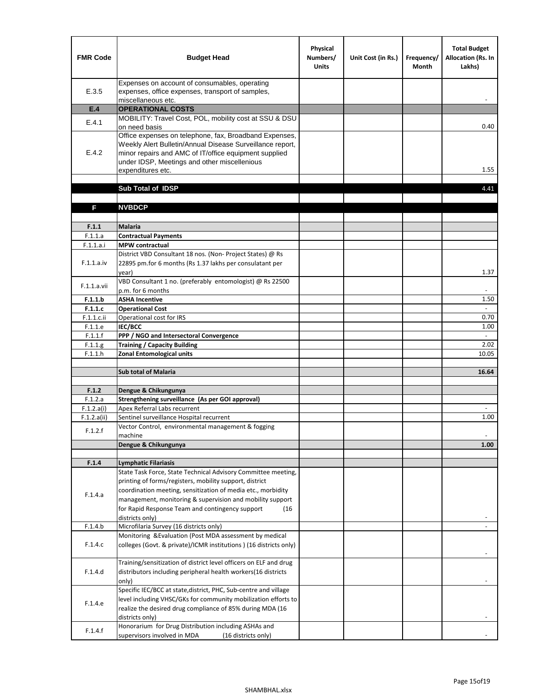| <b>FMR Code</b>           | <b>Budget Head</b>                                                                                                                                                                                                                                | Physical<br>Numbers/<br><b>Units</b> | Unit Cost (in Rs.) | Frequency/<br><b>Month</b> | <b>Total Budget</b><br>Allocation (Rs. In<br>Lakhs) |
|---------------------------|---------------------------------------------------------------------------------------------------------------------------------------------------------------------------------------------------------------------------------------------------|--------------------------------------|--------------------|----------------------------|-----------------------------------------------------|
| E.3.5                     | Expenses on account of consumables, operating<br>expenses, office expenses, transport of samples,<br>miscellaneous etc.                                                                                                                           |                                      |                    |                            |                                                     |
| E.4                       | <b>OPERATIONAL COSTS</b>                                                                                                                                                                                                                          |                                      |                    |                            |                                                     |
| E.4.1                     | MOBILITY: Travel Cost, POL, mobility cost at SSU & DSU<br>on need basis                                                                                                                                                                           |                                      |                    |                            | 0.40                                                |
| E.4.2                     | Office expenses on telephone, fax, Broadband Expenses,<br>Weekly Alert Bulletin/Annual Disease Surveillance report,<br>minor repairs and AMC of IT/office equipment supplied<br>under IDSP, Meetings and other miscellenious<br>expenditures etc. |                                      |                    |                            | 1.55                                                |
|                           | Sub Total of IDSP                                                                                                                                                                                                                                 |                                      |                    |                            | 4.41                                                |
|                           |                                                                                                                                                                                                                                                   |                                      |                    |                            |                                                     |
| F                         | <b>NVBDCP</b>                                                                                                                                                                                                                                     |                                      |                    |                            |                                                     |
| F.1.1                     | Malaria                                                                                                                                                                                                                                           |                                      |                    |                            |                                                     |
| F.1.1.a                   | <b>Contractual Payments</b>                                                                                                                                                                                                                       |                                      |                    |                            |                                                     |
| F.1.1.a.i                 | <b>MPW</b> contractual                                                                                                                                                                                                                            |                                      |                    |                            |                                                     |
| F.1.1.a.iv                | District VBD Consultant 18 nos. (Non-Project States) @ Rs<br>22895 pm.for 6 months (Rs 1.37 lakhs per consulatant per<br>year)                                                                                                                    |                                      |                    |                            | 1.37                                                |
| F.1.1.a.vii               | VBD Consultant 1 no. (preferably entomologist) @ Rs 22500<br>p.m. for 6 months                                                                                                                                                                    |                                      |                    |                            |                                                     |
| F.1.1.b                   | <b>ASHA Incentive</b>                                                                                                                                                                                                                             |                                      |                    |                            | 1.50                                                |
| F.1.1.c                   | <b>Operational Cost</b>                                                                                                                                                                                                                           |                                      |                    |                            | $\blacksquare$                                      |
| F.1.1.c.ii                | Operational cost for IRS                                                                                                                                                                                                                          |                                      |                    |                            | 0.70                                                |
| F.1.1.e                   | IEC/BCC                                                                                                                                                                                                                                           |                                      |                    |                            | 1.00                                                |
| F.1.1.f                   | PPP / NGO and Intersectoral Convergence                                                                                                                                                                                                           |                                      |                    |                            | $\sim$                                              |
| F.1.1.g<br>F.1.1.h        | <b>Training / Capacity Building</b><br><b>Zonal Entomological units</b>                                                                                                                                                                           |                                      |                    |                            | 2.02<br>10.05                                       |
|                           |                                                                                                                                                                                                                                                   |                                      |                    |                            |                                                     |
|                           | <b>Sub total of Malaria</b>                                                                                                                                                                                                                       |                                      |                    |                            | 16.64                                               |
|                           |                                                                                                                                                                                                                                                   |                                      |                    |                            |                                                     |
| F.1.2                     | Dengue & Chikungunya                                                                                                                                                                                                                              |                                      |                    |                            |                                                     |
| F.1.2.a                   | Strengthening surveillance (As per GOI approval)                                                                                                                                                                                                  |                                      |                    |                            |                                                     |
| F.1.2.a(i)<br>F.1.2.a(ii) | Apex Referral Labs recurrent<br>Sentinel surveillance Hospital recurrent                                                                                                                                                                          |                                      |                    |                            | 1.00                                                |
|                           | Vector Control, environmental management & fogging                                                                                                                                                                                                |                                      |                    |                            |                                                     |
| F.1.2.f                   | machine                                                                                                                                                                                                                                           |                                      |                    |                            |                                                     |
|                           | Dengue & Chikungunya                                                                                                                                                                                                                              |                                      |                    |                            | 1.00                                                |
|                           |                                                                                                                                                                                                                                                   |                                      |                    |                            |                                                     |
| F.1.4                     | <b>Lymphatic Filariasis</b>                                                                                                                                                                                                                       |                                      |                    |                            |                                                     |
|                           | State Task Force, State Technical Advisory Committee meeting,                                                                                                                                                                                     |                                      |                    |                            |                                                     |
|                           | printing of forms/registers, mobility support, district<br>coordination meeting, sensitization of media etc., morbidity                                                                                                                           |                                      |                    |                            |                                                     |
| F.1.4.a                   | management, monitoring & supervision and mobility support                                                                                                                                                                                         |                                      |                    |                            |                                                     |
|                           | for Rapid Response Team and contingency support<br>(16)                                                                                                                                                                                           |                                      |                    |                            |                                                     |
|                           | districts only)                                                                                                                                                                                                                                   |                                      |                    |                            |                                                     |
| F.1.4.b                   | Microfilaria Survey (16 districts only)                                                                                                                                                                                                           |                                      |                    |                            |                                                     |
| F.1.4.c                   | Monitoring & Evaluation (Post MDA assessment by medical<br>colleges (Govt. & private)/ICMR institutions ) (16 districts only)                                                                                                                     |                                      |                    |                            |                                                     |
| F.1.4.d                   | Training/sensitization of district level officers on ELF and drug<br>distributors including peripheral health workers(16 districts                                                                                                                |                                      |                    |                            |                                                     |
|                           | only)<br>Specific IEC/BCC at state, district, PHC, Sub-centre and village                                                                                                                                                                         |                                      |                    |                            |                                                     |
| F.1.4.e                   | level including VHSC/GKs for community mobilization efforts to<br>realize the desired drug compliance of 85% during MDA (16                                                                                                                       |                                      |                    |                            |                                                     |
| F.1.4.f                   | districts only)<br>Honorarium for Drug Distribution including ASHAs and<br>supervisors involved in MDA<br>(16 districts only)                                                                                                                     |                                      |                    |                            |                                                     |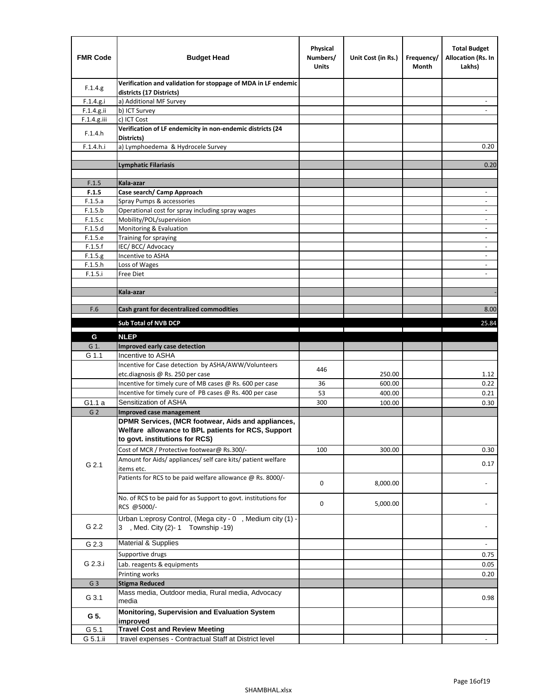| <b>FMR Code</b> | <b>Budget Head</b>                                                                                                                         | Physical<br>Numbers/<br><b>Units</b> | Unit Cost (in Rs.) | Frequency/<br>Month | <b>Total Budget</b><br><b>Allocation (Rs. In</b><br>Lakhs) |
|-----------------|--------------------------------------------------------------------------------------------------------------------------------------------|--------------------------------------|--------------------|---------------------|------------------------------------------------------------|
| F.1.4.g.        | Verification and validation for stoppage of MDA in LF endemic<br>districts (17 Districts)                                                  |                                      |                    |                     |                                                            |
| F.1.4.g.i       | a) Additional MF Survey                                                                                                                    |                                      |                    |                     |                                                            |
| F.1.4.g.ii      | b) ICT Survey                                                                                                                              |                                      |                    |                     |                                                            |
| $F.1.4.g.$ iii  | c) ICT Cost                                                                                                                                |                                      |                    |                     |                                                            |
| F.1.4.h         | Verification of LF endemicity in non-endemic districts (24<br>Districts)                                                                   |                                      |                    |                     |                                                            |
| F.1.4.h.i       | a) Lymphoedema & Hydrocele Survey                                                                                                          |                                      |                    |                     | 0.20                                                       |
|                 | Lymphatic Filariasis                                                                                                                       |                                      |                    |                     | 0.20                                                       |
|                 |                                                                                                                                            |                                      |                    |                     |                                                            |
| F.1.5           | Kala-azar                                                                                                                                  |                                      |                    |                     |                                                            |
| F.1.5           | Case search/ Camp Approach                                                                                                                 |                                      |                    |                     | $\overline{\phantom{a}}$                                   |
| F.1.5.a         | Spray Pumps & accessories                                                                                                                  |                                      |                    |                     | $\blacksquare$                                             |
| F.1.5.b         | Operational cost for spray including spray wages                                                                                           |                                      |                    |                     |                                                            |
| F.1.5.c         | Mobility/POL/supervision                                                                                                                   |                                      |                    |                     | $\overline{\phantom{a}}$                                   |
| F.1.5.d         | Monitoring & Evaluation                                                                                                                    |                                      |                    |                     |                                                            |
| F.1.5.e         | Training for spraying                                                                                                                      |                                      |                    |                     | $\blacksquare$                                             |
| F.1.5.f         | IEC/BCC/Advocacy                                                                                                                           |                                      |                    |                     | $\overline{a}$                                             |
| F.1.5.g         | Incentive to ASHA                                                                                                                          |                                      |                    |                     | $\overline{\phantom{a}}$                                   |
| F.1.5.h         | Loss of Wages                                                                                                                              |                                      |                    |                     | $\qquad \qquad \blacksquare$                               |
| F.1.5.i         | Free Diet                                                                                                                                  |                                      |                    |                     |                                                            |
|                 | Kala-azar                                                                                                                                  |                                      |                    |                     |                                                            |
|                 |                                                                                                                                            |                                      |                    |                     |                                                            |
| F.6             | Cash grant for decentralized commodities                                                                                                   |                                      |                    |                     | 8.00                                                       |
|                 |                                                                                                                                            |                                      |                    |                     |                                                            |
|                 | <b>Sub Total of NVB DCP</b>                                                                                                                |                                      |                    |                     | 25.84                                                      |
| G               | <b>NLEP</b>                                                                                                                                |                                      |                    |                     |                                                            |
| G 1.            | Improved early case detection                                                                                                              |                                      |                    |                     |                                                            |
| G 1.1           | Incentive to ASHA                                                                                                                          |                                      |                    |                     |                                                            |
|                 | Incentive for Case detection by ASHA/AWW/Volunteers                                                                                        | 446                                  |                    |                     |                                                            |
|                 | etc.diagnosis @ Rs. 250 per case                                                                                                           |                                      | 250.00             |                     | 1.12                                                       |
|                 | Incentive for timely cure of MB cases @ Rs. 600 per case                                                                                   | 36                                   | 600.00             |                     | 0.22                                                       |
|                 | Incentive for timely cure of PB cases @ Rs. 400 per case                                                                                   | 53                                   | 400.00             |                     | 0.21                                                       |
| G1.1 a          | Sensitization of ASHA                                                                                                                      | 300                                  | 100.00             |                     | 0.30                                                       |
| G <sub>2</sub>  | <b>Improved case management</b>                                                                                                            |                                      |                    |                     |                                                            |
|                 | DPMR Services, (MCR footwear, Aids and appliances,<br>Welfare allowance to BPL patients for RCS, Support<br>to govt. institutions for RCS) |                                      |                    |                     |                                                            |
|                 | Cost of MCR / Protective footwear@ Rs.300/-                                                                                                | 100                                  | 300.00             |                     | 0.30                                                       |
| G 2.1           | Amount for Aids/ appliances/ self care kits/ patient welfare<br>items etc.                                                                 |                                      |                    |                     | 0.17                                                       |
|                 | Patients for RCS to be paid welfare allowance @ Rs. 8000/-                                                                                 | 0                                    | 8,000.00           |                     |                                                            |
|                 | No. of RCS to be paid for as Support to govt. institutions for<br>RCS @5000/-                                                              | 0                                    | 5,000.00           |                     |                                                            |
| G 2.2           | Urban L:eprosy Control, (Mega city - 0, Medium city (1) -<br>3 , Med. City (2)-1 Township -19)                                             |                                      |                    |                     |                                                            |
| G 2.3           | Material & Supplies                                                                                                                        |                                      |                    |                     | $\blacksquare$                                             |
|                 | Supportive drugs                                                                                                                           |                                      |                    |                     | 0.75                                                       |
| G 2.3.i         | Lab. reagents & equipments                                                                                                                 |                                      |                    |                     | 0.05                                                       |
|                 | Printing works                                                                                                                             |                                      |                    |                     | 0.20                                                       |
| G <sub>3</sub>  | <b>Stigma Reduced</b>                                                                                                                      |                                      |                    |                     |                                                            |
|                 | Mass media, Outdoor media, Rural media, Advocacy                                                                                           |                                      |                    |                     |                                                            |
| G 3.1           | media<br>Monitoring, Supervision and Evaluation System                                                                                     |                                      |                    |                     | 0.98                                                       |
| G 5.            | improved                                                                                                                                   |                                      |                    |                     |                                                            |
| G 5.1           | <b>Travel Cost and Review Meeting</b>                                                                                                      |                                      |                    |                     |                                                            |
| G 5.1.ii        | travel expenses - Contractual Staff at District level                                                                                      |                                      |                    |                     |                                                            |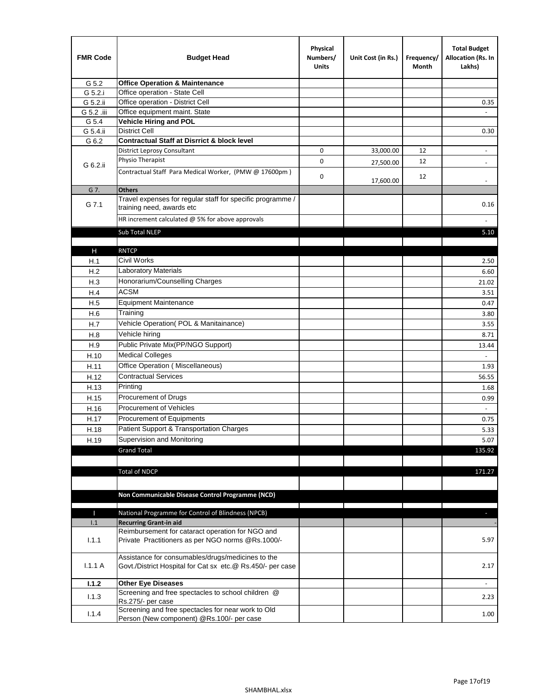| <b>FMR Code</b> | <b>Budget Head</b>                                                                                              | Physical<br>Numbers/<br><b>Units</b> | Unit Cost (in Rs.) | Frequency/<br>Month | <b>Total Budget</b><br>Allocation (Rs. In<br>Lakhs) |
|-----------------|-----------------------------------------------------------------------------------------------------------------|--------------------------------------|--------------------|---------------------|-----------------------------------------------------|
| G 5.2           | <b>Office Operation &amp; Maintenance</b>                                                                       |                                      |                    |                     |                                                     |
| G 5.2.i         | Office operation - State Cell                                                                                   |                                      |                    |                     |                                                     |
| G 5.2.ii        | Office operation - District Cell                                                                                |                                      |                    |                     | 0.35                                                |
| G 5.2 .iii      | Office equipment maint. State                                                                                   |                                      |                    |                     |                                                     |
| G 5.4           | <b>Vehicle Hiring and POL</b>                                                                                   |                                      |                    |                     |                                                     |
| G 5.4.ii        | <b>District Cell</b>                                                                                            |                                      |                    |                     | 0.30                                                |
| G 6.2           | <b>Contractual Staff at Disrrict &amp; block level</b>                                                          |                                      |                    |                     |                                                     |
|                 | <b>District Leprosy Consultant</b>                                                                              | 0                                    | 33,000.00          | 12                  | $\overline{\phantom{a}}$                            |
| G 6.2.ii        | Physio Therapist                                                                                                | 0                                    | 27,500.00          | 12                  |                                                     |
|                 | Contractual Staff Para Medical Worker, (PMW @ 17600pm)                                                          | 0                                    | 17,600.00          | 12                  | $\overline{\phantom{a}}$                            |
| G 7.            | <b>Others</b>                                                                                                   |                                      |                    |                     |                                                     |
| G 7.1           | Travel expenses for regular staff for specific programme /<br>training need, awards etc                         |                                      |                    |                     | 0.16                                                |
|                 | HR increment calculated $@$ 5% for above approvals                                                              |                                      |                    |                     |                                                     |
|                 | Sub Total NLEP                                                                                                  |                                      |                    |                     | 5.10                                                |
|                 |                                                                                                                 |                                      |                    |                     |                                                     |
| н               | <b>RNTCP</b>                                                                                                    |                                      |                    |                     |                                                     |
| H.1             | Civil Works                                                                                                     |                                      |                    |                     | 2.50                                                |
| H.2             | <b>Laboratory Materials</b>                                                                                     |                                      |                    |                     | 6.60                                                |
| H.3             | Honorarium/Counselling Charges                                                                                  |                                      |                    |                     | 21.02                                               |
| H.4             | <b>ACSM</b>                                                                                                     |                                      |                    |                     | 3.51                                                |
| H.5             | <b>Equipment Maintenance</b>                                                                                    |                                      |                    |                     | 0.47                                                |
| H.6             | Training                                                                                                        |                                      |                    |                     | 3.80                                                |
| H.7             | Vehicle Operation(POL & Manitainance)                                                                           |                                      |                    |                     | 3.55                                                |
| H.8             | Vehicle hiring                                                                                                  |                                      |                    |                     | 8.71                                                |
| H.9             | Public Private Mix(PP/NGO Support)                                                                              |                                      |                    |                     | 13.44                                               |
| H.10            | <b>Medical Colleges</b>                                                                                         |                                      |                    |                     | $\blacksquare$                                      |
| H.11            | Office Operation (Miscellaneous)                                                                                |                                      |                    |                     | 1.93                                                |
| H.12            | <b>Contractual Services</b>                                                                                     |                                      |                    |                     | 56.55                                               |
| H.13            | Printing                                                                                                        |                                      |                    |                     | 1.68                                                |
|                 | Procurement of Drugs                                                                                            |                                      |                    |                     |                                                     |
| H.15            | Procurement of Vehicles                                                                                         |                                      |                    |                     | 0.99                                                |
| H.16            |                                                                                                                 |                                      |                    |                     | $\omega$                                            |
| H.17            | Procurement of Equipments                                                                                       |                                      |                    |                     | 0.75                                                |
| H.18            | Patient Support & Transportation Charges                                                                        |                                      |                    |                     | 5.33                                                |
| H.19            | Supervision and Monitoring                                                                                      |                                      |                    |                     | 5.07                                                |
|                 | <b>Grand Total</b>                                                                                              |                                      |                    |                     | 135.92                                              |
|                 |                                                                                                                 |                                      |                    |                     |                                                     |
|                 | <b>Total of NDCP</b>                                                                                            |                                      |                    |                     | 171.27                                              |
|                 |                                                                                                                 |                                      |                    |                     |                                                     |
|                 | Non Communicable Disease Control Programme (NCD)                                                                |                                      |                    |                     |                                                     |
|                 |                                                                                                                 |                                      |                    |                     |                                                     |
| Т<br>1.1        | National Programme for Control of Blindness (NPCB)<br><b>Recurring Grant-in aid</b>                             |                                      |                    |                     | ٠                                                   |
|                 | Reimbursement for cataract operation for NGO and                                                                |                                      |                    |                     |                                                     |
| 1.1.1           | Private Practitioners as per NGO norms @Rs.1000/-                                                               |                                      |                    |                     | 5.97                                                |
| 1.1.1A          | Assistance for consumables/drugs/medicines to the<br>Govt./District Hospital for Cat sx etc.@ Rs.450/- per case |                                      |                    |                     | 2.17                                                |
| 1.1.2           | <b>Other Eye Diseases</b>                                                                                       |                                      |                    |                     |                                                     |
| 1.1.3           | Screening and free spectacles to school children @                                                              |                                      |                    |                     | 2.23                                                |
|                 | Rs.275/- per case                                                                                               |                                      |                    |                     |                                                     |
| 1.1.4           | Screening and free spectacles for near work to Old                                                              |                                      |                    |                     | 1.00                                                |
|                 | Person (New component) @Rs.100/- per case                                                                       |                                      |                    |                     |                                                     |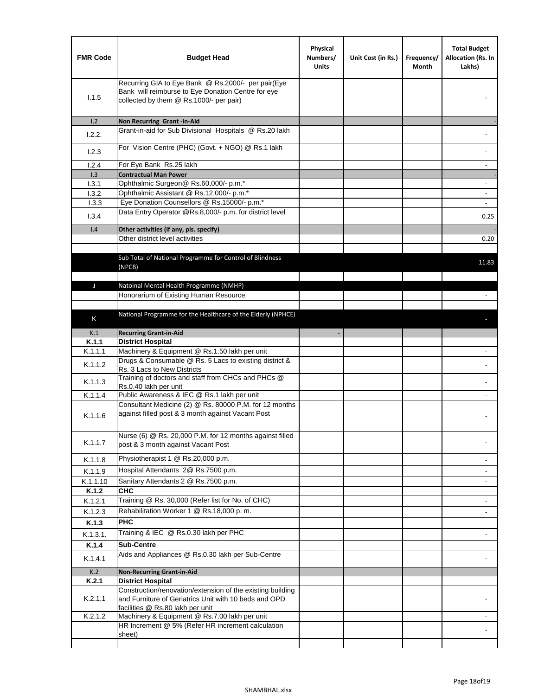| <b>FMR Code</b> | <b>Budget Head</b>                                                                                                                                      | Physical<br>Numbers/<br><b>Units</b> | Unit Cost (in Rs.) | Frequency/<br>Month | <b>Total Budget</b><br>Allocation (Rs. In<br>Lakhs) |
|-----------------|---------------------------------------------------------------------------------------------------------------------------------------------------------|--------------------------------------|--------------------|---------------------|-----------------------------------------------------|
| 1.1.5           | Recurring GIA to Eye Bank @ Rs.2000/- per pair(Eye<br>Bank will reimburse to Eye Donation Centre for eye<br>collected by them @ Rs.1000/- per pair)     |                                      |                    |                     |                                                     |
| 1.2             | Non Recurring Grant -in-Aid                                                                                                                             |                                      |                    |                     |                                                     |
| 1.2.2.          | Grant-in-aid for Sub Divisional Hospitals @ Rs.20 lakh                                                                                                  |                                      |                    |                     |                                                     |
| 1.2.3           | For Vision Centre (PHC) (Govt. + NGO) @ Rs.1 lakh                                                                                                       |                                      |                    |                     |                                                     |
| 1.2.4           | For Eye Bank Rs.25 lakh                                                                                                                                 |                                      |                    |                     |                                                     |
| 1.3<br>1.3.1    | <b>Contractual Man Power</b><br>Ophthalmic Surgeon@ Rs.60,000/- p.m.*                                                                                   |                                      |                    |                     |                                                     |
| 1.3.2           | Ophthalmic Assistant @ Rs.12,000/- p.m.*                                                                                                                |                                      |                    |                     |                                                     |
| 1.3.3           | Eye Donation Counsellors @ Rs.15000/- p.m.*                                                                                                             |                                      |                    |                     | $\overline{\phantom{a}}$                            |
|                 | Data Entry Operator @Rs.8,000/- p.m. for district level                                                                                                 |                                      |                    |                     |                                                     |
| 1.3.4           |                                                                                                                                                         |                                      |                    |                     | 0.25                                                |
| 1.4             | Other activities (if any, pls. specify)                                                                                                                 |                                      |                    |                     |                                                     |
|                 | Other district level activities                                                                                                                         |                                      |                    |                     | 0.20                                                |
|                 | Sub Total of National Programme for Control of Blindness<br>(NPCB)                                                                                      |                                      |                    |                     | 11.83                                               |
| J               | Natoinal Mental Health Programme (NMHP)                                                                                                                 |                                      |                    |                     |                                                     |
|                 | Honorarium of Existing Human Resource                                                                                                                   |                                      |                    |                     |                                                     |
|                 |                                                                                                                                                         |                                      |                    |                     |                                                     |
| K               | National Programme for the Healthcare of the Elderly (NPHCE)                                                                                            |                                      |                    |                     |                                                     |
|                 |                                                                                                                                                         |                                      |                    |                     |                                                     |
| K.1             | <b>Recurring Grant-in-Aid</b>                                                                                                                           |                                      |                    |                     |                                                     |
| K.1.1           | <b>District Hospital</b><br>Machinery & Equipment @ Rs.1.50 lakh per unit                                                                               |                                      |                    |                     |                                                     |
| K.1.1.1         | Drugs & Consumable @ Rs. 5 Lacs to existing district &                                                                                                  |                                      |                    |                     |                                                     |
| K.1.1.2         | Rs. 3 Lacs to New Districts                                                                                                                             |                                      |                    |                     |                                                     |
| K.1.1.3         | Training of doctors and staff from CHCs and PHCs @<br>Rs.0.40 lakh per unit                                                                             |                                      |                    |                     |                                                     |
| K.1.1.4         | Public Awareness & IEC @ Rs.1 lakh per unit                                                                                                             |                                      |                    |                     |                                                     |
| K.1.1.6         | Consultant Medicine (2) @ Rs. 80000 P.M. for 12 months<br>against filled post & 3 month against Vacant Post                                             |                                      |                    |                     |                                                     |
| K.1.1.7         | Nurse (6) @ Rs. 20,000 P.M. for 12 months against filled<br>post & 3 month against Vacant Post                                                          |                                      |                    |                     |                                                     |
| K.1.1.8         | Physiotherapist 1 @ Rs.20,000 p.m.                                                                                                                      |                                      |                    |                     |                                                     |
| K.1.1.9         | Hospital Attendants 2@ Rs.7500 p.m.                                                                                                                     |                                      |                    |                     |                                                     |
| K.1.1.10        | Sanitary Attendants 2 @ Rs.7500 p.m.                                                                                                                    |                                      |                    |                     | $\overline{\phantom{a}}$                            |
| K.1.2           | <b>CHC</b>                                                                                                                                              |                                      |                    |                     |                                                     |
| K.1.2.1         | Training @ Rs. 30,000 (Refer list for No. of CHC)                                                                                                       |                                      |                    |                     |                                                     |
| K.1.2.3         | Rehabilitation Worker 1 @ Rs.18,000 p.m.                                                                                                                |                                      |                    |                     |                                                     |
| K.1.3           | <b>PHC</b>                                                                                                                                              |                                      |                    |                     |                                                     |
| K.1.3.1.        | Training & IEC @ Rs.0.30 lakh per PHC                                                                                                                   |                                      |                    |                     |                                                     |
| K.1.4           | <b>Sub-Centre</b>                                                                                                                                       |                                      |                    |                     |                                                     |
| K.1.4.1         | Aids and Appliances @ Rs.0.30 lakh per Sub-Centre                                                                                                       |                                      |                    |                     |                                                     |
| K.2             | <b>Non-Recurring Grant-in-Aid</b>                                                                                                                       |                                      |                    |                     |                                                     |
| K.2.1           | <b>District Hospital</b>                                                                                                                                |                                      |                    |                     |                                                     |
| K.2.1.1         | Construction/renovation/extension of the existing building<br>and Furniture of Geriatrics Unit with 10 beds and OPD<br>facilities @ Rs.80 lakh per unit |                                      |                    |                     |                                                     |
| K.2.1.2         | Machinery & Equipment @ Rs.7.00 lakh per unit                                                                                                           |                                      |                    |                     |                                                     |
|                 | HR Increment @ 5% (Refer HR increment calculation                                                                                                       |                                      |                    |                     |                                                     |
|                 | sheet)                                                                                                                                                  |                                      |                    |                     |                                                     |